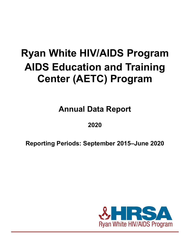# **Ryan White HIV/AIDS Program AIDS Education and Training Center (AETC) Program**

**Annual Data Report**

## **2020**

**Reporting Periods: September 2015–June 2020**

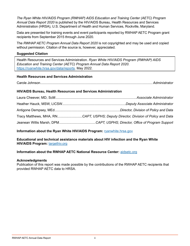*The Ryan White HIV/AIDS Program (RWHAP) AIDS Education and Training Center (AETC) Program Annual Data Report 2020* is published by the HIV/AIDS Bureau, Health Resources and Services Administration (HRSA), U.S. Department of Health and Human Services, Rockville, Maryland.

Data are presented for training events and event participants reported by RWHAP AETC Program grant recipients from September 2015 through June 2020.

The *RWHAP AETC Program Annual Data Report 2020* is not copyrighted and may be used and copied without permission. Citation of the source is, however, appreciated.

#### **Suggested Citation**

Health Resources and Services Administration. *Ryan White HIV/AIDS Program (RWHAP) AIDS Education and Training Center (AETC) Program Annual Data Report 2020.* <https://ryanwhite.hrsa.gov/data/reports>. May 2022.

#### **Health Resources and Services Administration**

Carole Johnson...................................................................................................................... *Administrator*

#### **HIV/AIDS Bureau, Health Resources and Services Administration**

| Tracy Matthews, MHA, RNCAPT, USPHS; Deputy Director, Division of Policy and Data |
|----------------------------------------------------------------------------------|
|                                                                                  |

#### **Information about the Ryan White HIV/AIDS Program: <b>[ryanwhite.hrsa.gov](https://ryanwhite.hrsa.gov)**

**Educational and technical assistance materials about HIV infection and the Ryan White HIV/AIDS Program:** [targethiv.org](https://targethiv.org/)

#### **Information about the RWHAP AETC National Resource Center:** [aidsetc.org](https://aidsetc.org/)

#### **Acknowledgments**

Publication of this report was made possible by the contributions of the RWHAP AETC recipients that provided RWHAP AETC data to HRSA.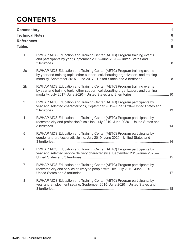## **CONTENTS**

| <b>Commentary</b><br><b>Technical Notes</b><br><b>References</b><br><b>Tables</b> |                                                                                                                                                                                                                                       | 1<br>6<br>7<br>8 |
|-----------------------------------------------------------------------------------|---------------------------------------------------------------------------------------------------------------------------------------------------------------------------------------------------------------------------------------|------------------|
| $\mathbf{1}$                                                                      | RWHAP AIDS Education and Training Center (AETC) Program training events<br>and participants by year, September 2015-June 2020-United States and                                                                                       |                  |
| 2a                                                                                | RWHAP AIDS Education and Training Center (AETC) Program training events<br>by year and training topic, other support, collaborating organization, and training<br>modality, September 2015-June 2017-United States and 3 territories8 |                  |
| 2 <sub>b</sub>                                                                    | RWHAP AIDS Education and Training Center (AETC) Program training events<br>by year and training topic, other support, collaborating organization, and training                                                                        |                  |
| $\mathfrak 3$                                                                     | RWHAP AIDS Education and Training Center (AETC) Program participants by<br>year and selected characteristics, September 2015-June 2020-United States and                                                                              |                  |
| $\overline{4}$                                                                    | RWHAP AIDS Education and Training Center (AETC) Program participants by<br>race/ethnicity and profession/discipline, July 2019–June 2020—United States and                                                                            |                  |
| 5                                                                                 | RWHAP AIDS Education and Training Center (AETC) Program participants by<br>gender and profession/discipline, July 2019-June 2020-United States and                                                                                    |                  |
| $6\,$                                                                             | RWHAP AIDS Education and Training Center (AETC) Program participants by<br>year and selected service delivery characteristics, September 2015-June 2020-                                                                              |                  |
| 7                                                                                 | RWHAP AIDS Education and Training Center (AETC) Program participants by<br>race/ethnicity and service delivery to people with HIV, July 2019-June 2020-                                                                               |                  |
| $\,8\,$                                                                           | RWHAP AIDS Education and Training Center (AETC) Program participants by<br>year and employment setting, September 2015-June 2020-United States and                                                                                    |                  |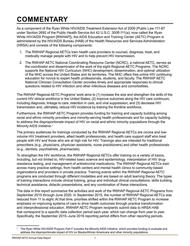## <span id="page-3-0"></span>**COMMENTARY**

As a component of the Ryan White HIV/AIDS Treatment Extension Act of 2009 (Public Law 111-87 under Section 2692 of the Public Health Service Act 42 U.S.C. 300ff-111(a); now called the Ryan White HIV/AIDS Program [RWHAP]), the AIDS Education and Training Center (AETC) Program is administered by the HIV/AIDS Bureau (HAB) of the Health Resources and Services Administration (HRSA) and consists of the following components:

- 1. The RWHAP Regional AETCs train health care providers to counsel, diagnose, treat, and medically manage people with HIV and to help prevent HIV transmission.
- 2. The RWHAP AETC National Coordinating Resource Center (NCRC), a national AETC, serves as the coordinator and disseminator of the work of the eight Regional AETC Programs. The NCRC supports the National HIV Curriculum (NHC) development, dissemination, and optimal utilization of the NHC across the United States and its territories. The NHC offers free online HIV continuing education for novice to expert health professionals, students, and faculty. The RWHAP AETC National Clinician Consultation Center provides timely and appropriate responses to clinical questions related to HIV infection and other infectious diseases and comorbidities.

The RWHAP Regional AETC Programs' work aims to (1) increase the size and strengthen the skills of the current HIV clinical workforce in the United States; (2) improve outcomes along the HIV care continuum, including diagnosis, linkage to care, retention in care, and viral suppression; and (3) decrease HIV transmission and, ultimately, reduce HIV incidence by training the frontline workforce.

Furthermore, the RWHAP AETC Program provides funding for training and capacity building among racial and ethnic minority providers and minority-serving health professionals and for capacity building to address the disproportionate impact of HIV on racial and ethnic minority populations through the Minority AIDS Initiative.<sup>1</sup>

The primary audiences for trainings conducted by the RWHAP Regional AETCs are novice and lowvolume HIV treatment providers, allied health professionals, and health care support staff who treat people with HIV and those who are at high risk for HIV. Trainings also are intended for traditional prescribers (e.g., physicians, physician assistants, nurse practitioners) and other health professionals (e.g., dentists, psychiatrists, pharmacists).

To strengthen the HIV workforce, the RWHAP Regional AETCs offer training on a variety of topics, including, but not limited to, HIV-related basic science and epidemiology, interpretation of HIV drugresistance testing, and management of antiretroviral medications. The RWHAP Regional AETCs train across many practice settings, from health centers and mental health clinics to community-based organizations and providers in private practice. Training events within the RWHAP Regional AETC programs are conducted through different modalities and are based on adult learning theory. The types of training interactions include clinical training, group and individual clinical consultations, skills building, technical assistance, didactic presentations, and any combination of these interactions.

The data in this report summarize the activities and work of the RWHAP Regional AETC Programs from September 2015 through June 2020. In September 2015, the number of RWHAP Regional AETCs was reduced from 11 to eight. At that time, priorities shifted within the RWHAP AETC Program to increase emphasis on improving systems of care to drive health outcomes through practice transformation and interprofessional education. RWHAP AETC Program recipients submit data to HRSA HAB that correspond to a specific data collection period each year, which can change from year to year. Specifically, the September 2015–June 2016 reporting period differs from other reporting periods.

The Ryan White HIV/AIDS Program Part F includes the Minority AIDS Initiative, which provides funding to evaluate and<br>address the disproportionate impact of HIV on Blacks/African Americans and other minority populations.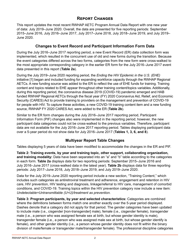## **Report Changes**

This report updates the most recent RWHAP AETC Program Annual Data Report with one new year of data: July 2019–June 2020. Overall, the data are presented for five reporting periods: September 2015–June 2016, July 2016–June 2017, July 2017–June 2018, July 2018–June 2019, and July 2019– June 2020.

#### **Changes to Event Record and Participant Information Form Data**

During the July 2016–June 2017 reporting period, a new Event Record (ER) data collection form was implemented, which resulted in the concurrent use of old and new forms during the transition. Because the event categories differed across the two forms, categories from the new form were cross-walked to the most appropriate corresponding category in the earlier ER form for the July 2016–June 2017 event data presented in this report (**Table 2a**).

During the July 2019–June 2020 reporting period, the *Ending the HIV Epidemic in the U.S. (EHE)* initiative [1] began and included funding for expanding workforce capacity through the RWHAP Regional AETCs. A new funding source was added to the ER to reflect the use of EHE funds for training. Training content and topics related to EHE appear throughout other training content/topics variables. Additionally, during this reporting period, the coronavirus disease 2019 (COVID-19) pandemic emerged and HAB funded RWHAP Regional AETCs through the fiscal year (FY) 2020 Coronavirus Aid, Relief, and Economic Security (CARES) Act to provide training to providers on the management and prevention of COVID-19 for people with HIV. To capture these activities, a new COVID-19 training content item and a new funding source, RWHAP FY 2020 CARES Act, were added to the ER (**Table 2b**).

Similar to the ER form changes during the July 2016–June 2017 reporting period, Participant Information Form (PIF) changes also were implemented in the reporting period; however, the new participant data categories could not be cross-walked to the previous variables. Therefore, participant data are not available for the July 2016–June 2017 reporting period. Tables displaying participant data over a 5-year period do not show data for July 2016–June 2017 (**Tables 1, 3, 6, and 8**).

### **Multiyear Report Table Changes**

Tables displaying 5 years of data have been modified to accommodate the changes in the ER and PIF.

**Table 2: Training events, by year and training topic, other support, collaborating organization, and training modality:** Data have been separated into an "a" and "b" table according to the categories in each form. **Table 2a** displays data for two reporting periods: September 2015–June 2016 and July 2016–June 2017 (cross-walked data in the latest year). **Table 2b** displays data for three reporting periods: July 2017–June 2018, July 2018–June 2019, and July 2019–June 2020.

Data for the July 2019–June 2020 reporting period include a new section, "Training Content," which includes such categories as antiretroviral treatment and adherence, engagement and retention in HIV care, HIV prevention, HIV testing and diagnosis, linkage/referral to HIV care, management of comorbid conditions, and COVID-19. Training topics within the HIV prevention category now include a new item: *Undetectable=Untransmittable (U=U)/treatment as prevention.*

**Table 3: Program participants, by year and selected characteristics:** Categories are combined where the definitions between forms match one another exactly over the 5-year period displayed. Dashes denote that a category did not apply for that period. The gender categories have been updated to include male (i.e., cisgender [non-transgender] male), female (i.e., cisgender female), transgender male (i.e., a person who was assigned female sex at birth, but whose gender identity is male), transgender female (i.e., a person who was assigned male sex at birth, but whose gender identify is female), and other gender identity (i.e., a person whose gender identity does not fit within the binary division of male/female or transgender male/transgender female). The professional discipline categories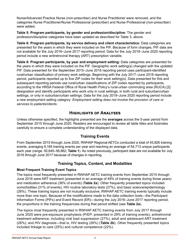Nurse/Advanced Practice Nurse (non-prescriber) and Nurse Practitioner were removed, and the categories Nurse Practitioner/Nurse Professional (prescriber) and Nurse Professional (non-prescriber) were added.

**Table 5: Program participants, by gender and profession/discipline:** The gender and profession/discipline categories have been updated as described for Table 3, above.

**Table 6: Program participants, by service delivery and client characteristics:** Data categories are presented for the years in which they were included on the PIF. Because of form changes, PIF data are not available for the July 2016–June 2017 reporting period. Data for the July 2019–June 2020 reporting period include a new antiretroviral therapy (ART) prescription variable.

**Table 8: Program participants, by year and employment setting:** Data categories are presented for the years in which they were included on the PIF. Geographic work setting(s) changed with the updated PIF. Data presented for the September 2015–June 2016 reporting period uses participant-identified rural/urban classification of primary work settings. Beginning with the July 2017–June 2018 reporting period, participants reported up to five ZIP codes for their work setting(s). Data presented for this and subsequent reporting periods use rural/urban classifications of ZIP codes reported by participants, according to the HRSA Federal Office of Rural Health Policy's rural-urban commuting area (RUCA) [2] designation and identify participants who work only in rural settings, in both rural and suburban/urban settings, or only in suburban/urban settings. Data for the July 2019–June 2020 reporting period include a new employment setting category: *Employment setting does not involve the provision of care or services to patients/clients.*

## **Highlights of Analyses**

Unless otherwise specified, the highlights presented are the **averages** across the 5-year period from September 2015 through June 2020. Readers are encouraged to review all table titles and footnotes carefully to ensure a complete understanding of the displayed data.

### **Training Events**

From September 2015 through June 2020, RWHAP Regional AETCs conducted a total of 45,826 training events, averaging 9,165 training events per year and reaching an average of 54,713 unique participants each year (range: 50,645–56,862; **Table 1**). As noted previously, participant data are not available for July 2016 through June 2017 because of changes in reporting.

### **Training Topics, Content, and Modalities**

#### **Most Frequent Training Event Topics**

The topics most frequently presented in RWHAP AETC training events from September 2015 through June 2016 were ART treatment (presented in an average of 49% of training events during those years) and medication adherence (36% of events) (**Table 2a**). Other frequently presented topics included comorbidities (31% of events), HIV routine laboratory tests (27%), and basic science/epidemiology (26%). These training topics are not mutually exclusive; RWHAP AETC training events typically include more than one topic. Because of the modifications made to the data collection tools—the Participant Information Forms (PIFs) and Event Record (ER)—during the July 2016–June 2017 reporting period, the proportions in the training frequencies during that period shifted (see **Table 2a**).

The topics most frequently presented in RWHAP AETC training events from July 2017 through June 2020 were pre-exposure prophylaxis (PrEP; presented in 29% of training events); antiretroviral treatment adherence, including viral load suppression (27%); adult and adolescent ART treatment (26%); and HIV diagnosis—that is, HIV testing (26%) (**Table 2b**). Other frequently presented topics included linkage to care (25%) and cultural competence (22%).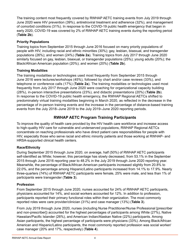The training content most frequently covered by RWHAP AETC training events from July 2019 through June 2020 were HIV prevention (39%), antiretroviral treatment and adherence (32%), and management of comorbid conditions (31%). In response to the COVID-19 public health emergency that began in early 2020, COVID-19 was covered by 2% of RWHAP AETC training events during the reporting period (**Table 2b**).

#### **Priority Populations**

Training topics from September 2015 through June 2016 focused on many priority populations of people with HIV, including racial and ethnic minorities (30%); gay, lesbian, bisexual, and transgender populations (26%); and women (24%) (**Table 2a**). Training topics from July 2017 through June 2020 similarly focused on gay, lesbian, bisexual, or transgender populations (25%); young adults (20%); the Black/African American population (20%); and women (20%) (**Table 2b**).

#### **Training Modalities**

The training modalities or technologies used most frequently from September 2015 through June 2016 were lectures/workshops (45%), followed by chart and/or case reviews (33%), and telephone or conference calls (17%) (**Table 2a**). The training modalities or technologies used most frequently from July 2017 through June 2020 were coaching for organizational capacity building (28%), in-person interactive presentations (23%), and didactic presentations (20%) (**Table 2b**). In response to the COVID-19 public health emergency, the RWHAP Regional AETCs shifted to predominately virtual training modalities beginning in March 2020, as reflected in the decrease in the percentage of in-person training events and the increase in the percentage of distance-based training events from the July 2018–June 2019 to the July 2019–June 2020 reporting periods.

## **RWHAP AETC Program Training Participants**

To improve the quality of health care provided by the HIV health care workforce and increase access to high-quality HIV care for vulnerable and underserved populations, RWHAP Regional AETCs concentrate on reaching professionals who have direct patient care responsibilities for people with HIV, especially those who serve racial and ethnic minority patients and those working at RWHAP- and HRSA-supported clinical health centers.

### **Race/Ethnicity**

During September 2015 through June 2020, on average, half (50%) of RWHAP AETC participants self-identified as White; however, this percentage has slowly decreased, from 53.1% in the September 2015 through June 2016 reporting year to 48.2% in the July 2019 through June 2020 reporting year. Meanwhile, the percentage of Black/African American participants increased slightly from 20.8% to 22.0%, and the percentage among Hispanic/Latino participants increased from 14.1% to 17.9%. Nearly three-quarters (74%) of RWHAP AETC participants were female, 25% were male, and less than 1% of participants were transgender (**Table 3**).

### **Profession**

From September 2015 through June 2020, nurses accounted for 24% of RWHAP AETC participants, physicians accounted for 14%, and social workers accounted for 12%. In addition to profession, participants reported their primary functional roles within their organization. The most commonly reported roles were care provider/clinician (31%) and case manager (13%) (**Table 3**).

From July 2019 through June 2020, nurses (including Nurse Practitioner/Nurse Professional [prescriber and non-prescriber]) accounted for the highest percentages of participants among White (27%), Native Hawaiian/Pacific Islander (26%), and American Indian/Alaskan Native (22%) participants. Among Asian participants, the highest percentage of participants were physicians (33%). Among Black/African American and Hispanic/Latino participants, the most commonly reported profession was social worker/ case manager (20% and 17%, respectively) (**Table 4**).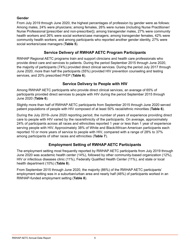#### **Gender**

From July 2019 through June 2020, the highest percentages of profession by gender were as follows: Among males, 24% were physicians; among females, 26% were nurses (including Nurse Practitioner/ Nurse Professional [prescriber and non-prescriber]); among transgender males, 27% were community health workers and 26% were social workers/case managers; among transgender females, 42% were community health workers; and among participants who reported another gender identity, 27% were social workers/case managers (**Table 5**).

### **Service Delivery of RWHAP AETC Program Participants**

RWHAP Regional AETC programs train and support clinicians and health care professionals who provide direct care and services to patients. During the period September 2015 through June 2020, the majority of participants (74%) provided direct clinical services. During the period July 2017 through June 2020, more than half the participants (55%) provided HIV prevention counseling and testing services, and 20% prescribed PrEP (**Table 6**).

#### **Service Delivery to People with HIV**

Among RWHAP AETC participants who provide direct clinical services, an average of 65% of participants provided direct services to people with HIV during the period September 2015 through June 2020 (**Table 6**).

Slightly more than half of RWHAP AETC participants from September 2015 through June 2020 served patient populations of people with HIV composed of at least 50% racial/ethnic minorities (**Table 6**).

During the July 2019–June 2020 reporting period, the number of years of experience providing direct care to people with HIV varied by the race/ethnicity of the participants. On average, approximately 24% of participants across all races and ethnicities reported 1 year or less than 1 year of experience serving people with HIV. Approximately 38% of White and Black/African American participants each reported 10 or more years of service to people with HIV, compared with a range of 28% to 37% among participants of other races and ethnicities (**Table 7**).

## **Employment Setting of RWHAP AETC Participants**

The employment setting most frequently reported by RWHAP AETC participants from July 2019 through June 2020 was academic health center (14%), followed by other community-based organization (12%), HIV or infectious diseases clinic (11%), Federally Qualified Health Center (11%), and state or local health department (10%) (**Table 8**).

From September 2015 through June 2020, the majority (86%) of the RWHAP AETC participants' employment setting was in a suburban/urban area and nearly half (46%) of participants worked in an RWHAP-funded employment setting (**Table 8**).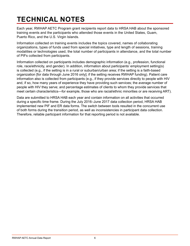## <span id="page-8-0"></span>**TECHNICAL NOTES**

Each year, RWHAP AETC Program grant recipients report data to HRSA HAB about the sponsored training events and the participants who attended those events in the United States, Guam, Puerto Rico, and the U.S. Virgin Islands.

Information collected on training events includes the topics covered, names of collaborating organizations, types of funds used from special initiatives, type and length of sessions, training modalities or technologies used, the total number of participants in attendance, and the total number of PIFs collected from participants.

Information collected on participants includes demographic information (e.g., profession, functional role, race/ethnicity, and gender). In addition, information about participants' employment setting(s) is collected (e.g., if the setting is in a rural or suburban/urban area; if the setting is a faith-based organization [for data through June 2016 only]; if the setting receives RWHAP funding). Patient care information also is collected from participants (e.g., if they provide services directly to people with HIV and, if so, how many years of experience they have providing such services; the average number of people with HIV they serve; and percentage estimates of clients to whom they provide services that meet certain characteristics—for example, those who are racial/ethnic minorities or are receiving ART).

Data are submitted to HRSA HAB each year and contain information on all activities that occurred during a specific time frame. During the July 2016–June 2017 data collection period, HRSA HAB implemented new PIF and ER data forms. The switch between tools resulted in the concurrent use of both forms during the transition period, as well as inconsistencies in participant data collection. Therefore, reliable participant information for that reporting period is not available.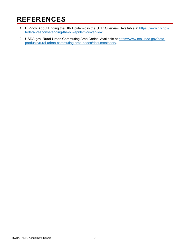## <span id="page-9-0"></span>**REFERENCES**

- 1. HIV.gov. About Ending the HIV Epidemic in the U.S.: Overview. Available at [https://www.hiv.gov/](https://www.hiv.gov/federal-response/ending-the-hiv-epidemic/overview) [federal-response/ending-the-hiv-epidemic/overview.](https://www.hiv.gov/federal-response/ending-the-hiv-epidemic/overview)
- 2. USDA.gov. Rural-Urban Commuting Area Codes. Available at [https://www.ers.usda.gov/data](https://www.ers.usda.gov/data-products/rural-urban-commuting-area-codes/documentation/)[products/rural-urban-commuting-area-codes/documentation](https://www.ers.usda.gov/data-products/rural-urban-commuting-area-codes/documentation/)/.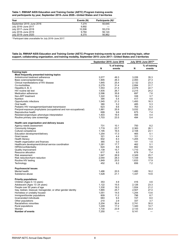#### <span id="page-10-0"></span>**Table 1. RWHAP AIDS Education and Training Center (AETC) Program training events and participants by year, September 2015–June 2020—United States and 3 territories**

| Year                     | Events (N) | <b>Participants (N)<sup>a</sup></b> |
|--------------------------|------------|-------------------------------------|
| September 2015-June 2016 | 7.274      | 50.645                              |
| July 2016–June 2017      | 9.892      |                                     |
| July 2017-June 2018      | 10.506     | 55.219                              |
| July 2018–June 2019      | 9.784      | 56.124                              |
| July 2019-June 2020      | 8.370      | 56.862                              |

a Participant data unavailable for July 2016–June 2017.

#### <span id="page-10-1"></span>**Table 2a. RWHAP AIDS Education and Training Center (AETC) Program training events by year and training topic, other support, collaborating organization, and training modality, September 2015–June 2017—United States and 3 territories**

|                                                                   |       | September 2015-June 2016 | July 2016-June 2017 <sup>a</sup> |               |  |
|-------------------------------------------------------------------|-------|--------------------------|----------------------------------|---------------|--|
|                                                                   |       | % of training            |                                  | % of training |  |
|                                                                   | N     | events                   | N                                | events        |  |
| <b>Training topic</b>                                             |       |                          |                                  |               |  |
| Most frequently presented training topics                         |       |                          |                                  |               |  |
| Antiretroviral treatment adherence                                | 3,577 | 49.3                     | 3,226                            | 35.3          |  |
| Basic science/epidemiology                                        | 1,905 | 26.3                     | 2,493                            | 27.3          |  |
| Clinical manifestations of HIV disease                            | 1.845 | 25.4                     | 2.132                            | 23.3          |  |
| Co-morbidities                                                    | 2.279 | 31.4                     | 2.894                            | 31.7          |  |
| Hepatitis A, B, C                                                 | 1,553 | 21.4                     | 2,076                            | 22.7          |  |
| HIV routine lab test                                              | 1,935 | 26.7                     | 2,215                            | 24.2          |  |
| Medication adherence                                              | 2,596 | 35.8                     | 697                              | 7.6           |  |
| Non-ART treatment                                                 | 1,322 | 18.2                     | 338                              | 3.7           |  |
| <b>Nutrition</b>                                                  | 394   | 5.4                      | 417                              | 4.6           |  |
| Opportunistic infections                                          | 1,545 | 21.3                     | 1,493                            | 16.3          |  |
| Oral health                                                       | 380   | 5.2                      | 485                              | 5.3           |  |
| Pediatric HIV management/perinatal transmission                   | 623   | 8.6                      | 763                              | 8.3           |  |
| Pre/post-exposure prophylaxis (occupational and non-occupational) | 1,881 | 25.9                     | 3,032                            | 33.2          |  |
| Reproductive health                                               | 699   | 9.6                      | 675                              | 7.4           |  |
| Resistance/genotype-phenotype interpretation                      | 1,403 | 19.4                     | 406                              | 4.4           |  |
| Routine primary care screenings                                   | 1,703 | 23.5                     | 494                              | 5.4           |  |
|                                                                   |       |                          |                                  |               |  |
| Health care organization and delivery issues                      |       |                          |                                  |               |  |
| Agency needs assessment                                           | 731   | 10.1                     | 750                              | 8.2           |  |
| <b>Community linkages</b>                                         | 1,719 | 23.7                     | 2,383                            | 26.1          |  |
| Cultural competence                                               | 1,195 | 16.5                     | 2,108                            | 23.1          |  |
| Education development/delivery                                    | 1,254 | 17.3                     | 465                              | 5.1           |  |
| Grant issues                                                      | 321   | 4.4                      | 101                              | 1.1           |  |
| Health literacy                                                   | 602   | 8.3                      | 1,205                            | 13.2          |  |
| Health organization and finances                                  | 365   | 5.0                      | 141                              | 1.5           |  |
| Healthcare development/clinical service coordination              | 1,281 | 17.7                     | 462                              | 5.1           |  |
| HIPAA/confidentiality                                             | 624   | 8.6                      | 892                              | 9.8           |  |
|                                                                   | 1.139 | 15.7                     | 1.710                            | 18.7          |  |
| Quality improvement                                               | 617   | 8.5                      |                                  | 7.4           |  |
| Resource allocation                                               |       |                          | 678                              |               |  |
| Risk assessment                                                   | 1.947 | 26.9                     | 2,349                            | 25.7          |  |
| Risk reduction/harm reduction                                     | 2,054 | 28.3                     | 1,729                            | 18.9          |  |
| Routine HIV testing                                               | 1,849 | 25.5                     | 1,633                            | 17.9          |  |
| Technology                                                        | 452   | 6.2                      | 656                              | 7.2           |  |
|                                                                   |       |                          |                                  |               |  |
| <b>Psychosocial issues</b><br>Mental health                       | 1,486 | 20.5                     | 1,480                            | 16.2          |  |
| Substance abuse                                                   | 1,528 | 21.1                     | 1,337                            | 14.6          |  |
|                                                                   |       |                          |                                  |               |  |
| <b>Priority populations</b>                                       |       |                          |                                  |               |  |
| Children (Ages 0-12 years)                                        | 353   | 4.9                      | 416                              | 4.6           |  |
| Adolescent (Ages 13-24 years)                                     | 1.122 | 15.5                     | 2.126                            | 23.3          |  |
| People over 50 years of age                                       | 1,330 | 18.3                     | 1,934                            | 21.2          |  |
| Gay, lesbian, bisexual, transgender, or other gender identity     | 1,865 | 25.7                     | 2,507                            | 27.4          |  |
| Homeless or unstably housed                                       | 1,051 | 14.5                     | 1,244                            | 13.6          |  |
| Immigrant/border populations                                      | 809   | 11.2                     | 796                              | 8.7           |  |
| Incarcerated individuals                                          | 683   | 9.4                      | 727                              | 8.0           |  |
| Other populations                                                 | 210   | 2.9                      | 337                              | 3.7           |  |
| Racial/ethnic minorities                                          | 2,204 | 30.4                     | 2,741                            | 30.0          |  |
| Rural populations                                                 | 1,249 | 17.2                     | 1,340                            | 14.7          |  |
| Women                                                             | 1,730 | 23.9                     | 2,133                            | 23.3          |  |
| <b>Number of events</b>                                           |       |                          |                                  |               |  |
|                                                                   | 7,250 |                          | 9,141                            |               |  |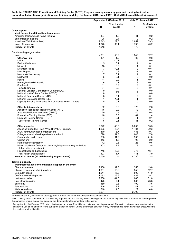| Table 2a. RWHAP AIDS Education and Training Center (AETC) Program training events by year and training topic, other                 |  |
|-------------------------------------------------------------------------------------------------------------------------------------|--|
| support, collaborating organization, and training modality, September 2015–June 2017—United States and 3 territories <i>(cont.)</i> |  |

|                                                                                                        |                | September 2015-June 2016 |                | July 2016-June 2017 <sup>a</sup> |  |
|--------------------------------------------------------------------------------------------------------|----------------|--------------------------|----------------|----------------------------------|--|
|                                                                                                        |                | % of training            |                | % of training                    |  |
|                                                                                                        | N              | events                   | N              | events                           |  |
| Other support                                                                                          |                |                          |                |                                  |  |
| Most frequent additional funding sources                                                               |                |                          |                |                                  |  |
| American Indian/Alaska Native Initiative                                                               | 107            | 1.5                      | 11             | 0.2                              |  |
| <b>Border Health Initiative</b>                                                                        | 28             | 0.4                      | 9              | 0.2                              |  |
| Minority AIDS Initiative (MAI)                                                                         | 2,043          | 29.0                     | 2,652          | 59.3                             |  |
| None of the above<br><b>Number of events</b>                                                           | 4,870<br>7,048 | 69.1                     | 1,798<br>4,470 | 40.2                             |  |
| <b>Collaborating organization</b>                                                                      |                |                          |                |                                  |  |
| None                                                                                                   | 4,111          | 58.2                     | 1,549          | 32.7                             |  |
| <b>Other AETCs</b>                                                                                     | 131            | 1.9                      | 36             | 0.8                              |  |
| Delta                                                                                                  | 3              | < 0.1                    | 0              | 0.0                              |  |
| Florida/Caribbean                                                                                      | 5              | 0.1                      | 4              | 0.1                              |  |
| Midwest                                                                                                | 18             | 0.3                      | 4              | 0.1                              |  |
| <b>Mountain Plains</b>                                                                                 | 3              | < 0.1                    | $\overline{2}$ | < 0.1                            |  |
| New England                                                                                            | 17             | 0.2                      | 17             | 0.4                              |  |
| New York/New Jersey                                                                                    | $\overline{7}$ | 0.1                      | 4              | 0.1                              |  |
| Northwest                                                                                              | 5              | 0.1                      | 0              | 0.0                              |  |
| Pacific                                                                                                | 11             | 0.2                      | 1              | < 0.1                            |  |
| Pennsylvania/Mid-Atlantic                                                                              | 6              | 0.1                      | 2              | < 0.1                            |  |
| Southeast                                                                                              | 11             | 0.2                      | 2              | < 0.1                            |  |
| Texas/Oklahoma                                                                                         | 54             | 0.8                      | 5              | 0.1                              |  |
| National Clinician Consultation Center (NCCC)                                                          | 0              | 0.0                      | 0              | 0.0                              |  |
| National Multi-Cultural Center (NMCC)                                                                  | 0              | 0.0                      | 0              | 0.0                              |  |
| National Resource Center (NRC)                                                                         | 6              | 0.1                      | $\overline{2}$ | < 0.1                            |  |
| National Evaluation Center (NEC)                                                                       | 1              | < 0.1                    | 1              | < 0.1                            |  |
| Capacity Building Assistance for Community Health Centers                                              | 5              | 0.1                      | 0              | 0.0                              |  |
| <b>Other training centers</b>                                                                          | 62             | 0.9                      | 123            | 2.6                              |  |
| Addiction Technology Transfer Center (ATTC)                                                            | 16             | 0.2                      | 12             | 0.3                              |  |
| Area Health Education Center (AHEC)                                                                    | 29             | 0.4                      | 40             | 0.8                              |  |
| Prevention Training Center (PTC)                                                                       | 18             | 0.3                      | 64             | 1.4                              |  |
| Regional Training Center (RTC)                                                                         | $\overline{7}$ | 0.1                      | 1              | < 0.1                            |  |
| <b>Tuberculosis Training Center</b>                                                                    | 6              | 0.1                      | 11             | 0.2                              |  |
| Other agencies                                                                                         | 2,822          | 40.0                     | 3,097          | 65.5                             |  |
| Agencies funded by Ryan White HIV/AIDS Program                                                         | 1,323          | 18.7                     | 1,434          | 30.3                             |  |
| AIDS community-based organizations                                                                     | 470            | 6.7                      | 486            | 10.3                             |  |
| College/university/health professions school                                                           | 798            | 11.3                     | 843            | 17.8                             |  |
| Community health center                                                                                | 838            | 11.9                     | 995            | 21.0                             |  |
| Corrections                                                                                            | 113            | 1.6                      | 95             | 2.0                              |  |
| Faith-based organization                                                                               | 42             | 0.6                      | 28             | 0.6                              |  |
| Historically Black College or University/Hispanic-serving institution/<br>tribal college or university | 203            | 2.9                      | 179            | 3.8                              |  |
| Hospital/hospital-based clinic                                                                         | 748            | 10.6                     | 775            | 16.4                             |  |
| Tribal health organizations                                                                            | 123            | 1.7                      | 141            | 3.0                              |  |
| Number of events (all collaborating organizations)                                                     | 7,059          |                          | 4,730          |                                  |  |
| Training modality                                                                                      |                |                          |                |                                  |  |
| Training modalities or technologies applied in the event                                               |                |                          |                |                                  |  |
| Chart/case review                                                                                      | 2,166          | 32.8                     | 553            | 19.8                             |  |
| Clinical preceptorship/mini-residency                                                                  | 1,051          | 15.9                     | 353            | 12.7                             |  |
| Computer-based                                                                                         | 1,044          | 15.8                     | 500            | 17.9                             |  |
| Conference call/telephone                                                                              | 1,093          | 16.6                     | 439            | 15.7                             |  |
| Lecture/workshop                                                                                       | 2,936          | 44.5                     | 866            | 31.0                             |  |
| Role play/simulation                                                                                   | 470            | 7.1                      | 665            | 23.8                             |  |
| Self-study                                                                                             | 150            | 2.3                      | 100            | 3.6                              |  |
| Telemedicine                                                                                           | 146            | $2.2\phantom{0}$         | 41             | 1.5                              |  |
| Webcast/webinar                                                                                        | 318            | 4.8                      | 129            | 4.6                              |  |
| <b>Number of events</b>                                                                                | 6,594          | $\overline{\phantom{0}}$ | 2,790          | $\overline{\phantom{0}}$         |  |

*Abbreviations:* ART, antiretroviral therapy; HIPAA, Health Insurance Portability and Accountability Act.

*Note:* Training topic, other support, collaborating organization, and training modality categories are not mutually exclusive. Subtotals for each represent<br>the number of unique events and serve as the denominators for per

a During the July 2016–June 2017 data collection period, a new Event Record data form was implemented. The switch between tools resulted in the the earlier form for this table.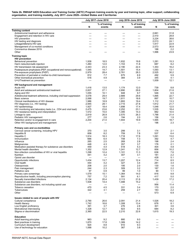#### <span id="page-12-0"></span>**Table 2b. RWHAP AIDS Education and Training Center (AETC) Program training events by year and training topic, other support, collaborating organization, and training modality, July 2017–June 2020—United States and 3 territories**

|                                                                                                             |                                                      | July 2017-June 2018                                  |                          | July 2018-June 2019                                  | July 2019-June 2020                                  |                   |
|-------------------------------------------------------------------------------------------------------------|------------------------------------------------------|------------------------------------------------------|--------------------------|------------------------------------------------------|------------------------------------------------------|-------------------|
|                                                                                                             |                                                      | % of training                                        |                          | % of training                                        |                                                      | % of training     |
|                                                                                                             | N                                                    | events                                               | Ν                        | events                                               | N                                                    | events            |
| <b>Training content</b><br>Antiretroviral treatment and adherence                                           |                                                      |                                                      | -                        |                                                      | 2,661                                                | 31.8              |
| Engagement and retention in HIV care                                                                        |                                                      |                                                      |                          |                                                      | 2,410                                                | 28.8              |
| HIV prevention                                                                                              | and the                                              | —                                                    | $\overline{\phantom{0}}$ | $\overline{\phantom{0}}$                             | 3,224                                                | 38.6              |
| HIV testing and diagnosis                                                                                   |                                                      |                                                      |                          |                                                      | 2,013                                                | 24.1              |
| Linkage/referral to HIV care<br>Management of co-morbid conditions                                          | $\overline{\phantom{0}}$<br>$\overline{\phantom{0}}$ | $\overline{\phantom{0}}$<br>$\overline{\phantom{0}}$ | $\overline{\phantom{0}}$ | $\overline{\phantom{0}}$<br>$\overline{\phantom{0}}$ | 1,917<br>2,573                                       | 22.9<br>30.8      |
| Coronavirus disease 2019                                                                                    |                                                      |                                                      |                          |                                                      | 188                                                  | 2.2               |
| Other                                                                                                       |                                                      |                                                      |                          |                                                      | 1,996                                                | 23.9              |
| Training topic                                                                                              |                                                      |                                                      |                          |                                                      |                                                      |                   |
| <b>HIV prevention</b>                                                                                       |                                                      |                                                      |                          |                                                      |                                                      |                   |
| Behavioral prevention                                                                                       | 1,938                                                | 18.5                                                 | 1,932                    | 19.8                                                 | 1,281                                                | 15.3              |
| Harm reduction/safe injection                                                                               | 1,260                                                | 12.0                                                 | 1,153                    | 11.8                                                 | 687                                                  | 8.2               |
| HIV transmission risk assessment<br>Postexposure prophylaxis (PEP, occupational and nonoccupational)        | 2,443<br>1,545                                       | 23.3<br>14.7                                         | 2,190<br>1,501           | 22.4<br>15.4                                         | 1,353<br>1,093                                       | 16.2<br>13.1      |
| Pre-exposure prophylaxis (PrEP)                                                                             | 2,979                                                | 28.4                                                 | 2,761                    | 28.3                                                 | 2,525                                                | 30.2              |
| Prevention of perinatal or mother-to-child transmission                                                     | 812                                                  | 7.7                                                  | 675                      | 6.9                                                  | 492                                                  | 5.9               |
| Other biomedical prevention                                                                                 | 516                                                  | 4.9                                                  | 384                      | 3.9                                                  | 345                                                  | 4.1               |
| U=U/Treatment as prevention                                                                                 | $\overline{\phantom{0}}$                             |                                                      |                          | —                                                    | 1,009                                                | 12.1              |
| HIV background and management                                                                               |                                                      |                                                      |                          |                                                      |                                                      |                   |
| Acute HIV                                                                                                   | 1,416                                                | 13.5                                                 | 1,174                    | 12.0                                                 | 739                                                  | 8.8               |
| Adult and adolescent antiretroviral treatment                                                               | 2,837<br>1,055                                       | 27.1<br>10.1                                         | 2,890<br>948             | 29.6<br>9.7                                          | 1,804<br>546                                         | 21.6<br>6.5       |
| Aging and HIV<br>Antiretroviral treatment adherence, including viral load suppression                       | 3,078                                                | 29.4                                                 | 2,889                    | 29.6                                                 | 1,895                                                | 22.7              |
| Basic science                                                                                               | 2,068                                                | 19.7                                                 | 1,811                    | 18.6                                                 | 897                                                  | 10.7              |
| Clinical manifestations of HIV disease                                                                      | 1,986                                                | 18.9                                                 | 1,893                    | 19.4                                                 | 1,112                                                | 13.3              |
| HIV diagnosis (i.e., HIV testing)                                                                           | 2,945                                                | 28.1                                                 | 2,715                    | 27.8                                                 | 1,812                                                | 21.7              |
| HIV epidemiology                                                                                            | 1,927                                                | 18.4                                                 | 1,698<br>2,252           | 17.4<br>23.1                                         | 1,048                                                | 12.5              |
| HIV monitoring and laboratory tests (i.e., CD4 and viral load)<br>HIV resistance testing and interpretation | 2,475<br>1,572                                       | 23.6<br>15.0                                         | 1,395                    | 14.3                                                 | 1,535<br>882                                         | 18.4<br>10.5      |
| Linkage to care                                                                                             | 2,819                                                | 26.9                                                 | 2,570                    | 26.3                                                 | 1,788                                                | 21.4              |
| Pediatric HIV management                                                                                    | 277                                                  | 2.6                                                  | 194                      | 2.0                                                  | 156                                                  | 1.9               |
| Retention and/or re-engagement in care                                                                      | 2,204                                                | 21.0                                                 | 1,944                    | 19.9                                                 | 1,565                                                | 18.7              |
| Other HIV background and management                                                                         |                                                      |                                                      |                          |                                                      | 196                                                  | 2.3               |
| Primary care and co-morbidities                                                                             |                                                      |                                                      |                          |                                                      |                                                      |                   |
| Cervical cancer screening, including HPV                                                                    | 370                                                  | 3.5                                                  | 299                      | 3.1                                                  | 174                                                  | 2.1               |
| <b>Hepatitis B</b>                                                                                          | 858                                                  | 8.2                                                  | 759                      | 7.8                                                  | 537                                                  | 6.4               |
| Hepatitis C                                                                                                 | 1,914                                                | 18.3                                                 | 1,718                    | 17.6                                                 | 1,091                                                | 13.0<br>4.7       |
| Immunization<br>Influenza                                                                                   | 666<br>265                                           | 6.4<br>2.5                                           | 708<br>269               | 7.3<br>2.8                                           | 392<br>198                                           | 2.4               |
| Malignancies                                                                                                | 448                                                  | 4.3                                                  | 357                      | 3.7                                                  | 178                                                  | 2.1               |
| Medication-assisted therapy for substance use disorders                                                     | 459                                                  | 4.4                                                  | 518                      | 5.3                                                  | 404                                                  | 4.8               |
| Mental health disorders                                                                                     | 1,352                                                | 12.9                                                 | 1,241                    | 12.7                                                 | 856                                                  | 10.2              |
| Non-infection comorbidities of HIV or viral hepatitis<br>Nutrition                                          | 1,298<br>441                                         | 12.4<br>4.2                                          | 1,101<br>307             | 11.3<br>3.1                                          | 636<br>181                                           | 7.6<br>2.2        |
| Opioid use disorder                                                                                         |                                                      |                                                      |                          |                                                      | 428                                                  | 5.1               |
| Opportunistic infections                                                                                    | 1,434                                                | 13.7                                                 | 1,207                    | 12.4                                                 | 714                                                  | 8.5               |
| Oral health                                                                                                 | 444                                                  | 4.2                                                  | 327                      | 3.4                                                  | 281                                                  | 3.4               |
| Osteoporosis                                                                                                | 208                                                  | 2.0                                                  | 195                      | 2.0                                                  | 130                                                  | 1.6               |
| Pain management<br>Palliative care                                                                          | 244<br>97                                            | 2.3<br>0.9                                           | 309<br>99                | 3.2<br>1.0                                           | 187<br>90                                            | 2.2<br>1.1        |
| Primary care screenings                                                                                     | 1,579                                                | 15.1                                                 | 1,364                    | 14.0                                                 | 816                                                  | 9.8               |
| Reproductive health, including preconception planning                                                       | 757                                                  | 7.2                                                  | 591                      | 6.1                                                  | 417                                                  | 5.0               |
| Sexually transmitted infections                                                                             | 2,134                                                | 20.4                                                 | 2,113                    | 21.6                                                 | 1,439                                                | 17.2              |
| Substance use disorders                                                                                     | 1,508                                                | 14.4                                                 | 1,488                    | 15.2                                                 |                                                      |                   |
| Substance use disorders, not including opioid use<br>Tobacco cessation                                      | 470                                                  | $\overline{\phantom{m}}$<br>4.5                      | 331                      | $\qquad \qquad \longleftarrow$<br>3.4                | 956<br>170                                           | 11.4<br>2.0       |
| <b>Tuberculosis</b>                                                                                         | 322                                                  | 3.1                                                  | 259                      | 2.7                                                  | 183                                                  | 2.2               |
| Other                                                                                                       |                                                      |                                                      |                          |                                                      | 573                                                  | 6.9               |
|                                                                                                             |                                                      |                                                      |                          |                                                      |                                                      |                   |
| Issues related to care of people with HIV<br>Cultural competence                                            | 2,790                                                | 26.6                                                 | 2,091                    | 21.4                                                 | 1,526                                                | 18.2              |
| Health literacy                                                                                             | 1,742                                                | 16.6                                                 | 1,308                    | 13.4                                                 | 676                                                  | 8.1               |
| Low English proficiency                                                                                     | 391                                                  | 3.7                                                  | 276                      | 2.8                                                  | 301                                                  | 3.6               |
| Motivational interviewing                                                                                   | 1,328                                                | 12.7                                                 | 923                      | 9.5                                                  | 684                                                  | 8.2               |
| Stigma or discrimination                                                                                    | 2,360                                                | 22.5                                                 | 2,210                    | 22.6                                                 | 1,615                                                | 19.3              |
| <b>Education</b>                                                                                            |                                                      |                                                      |                          |                                                      |                                                      |                   |
| Adult learning principles                                                                                   | 963                                                  | 9.2                                                  | 880                      | 9.0                                                  |                                                      |                   |
| Best practices in training                                                                                  | 1,870                                                | 17.8                                                 | 1,389                    | 14.2                                                 |                                                      |                   |
| Curriculum development                                                                                      | 924<br>1,068                                         | 8.8<br>10.2                                          | 910<br>367               | 9.3<br>3.8                                           | $\overline{\phantom{0}}$<br>$\overline{\phantom{0}}$ | $\qquad \qquad -$ |
| Use of technology for education                                                                             |                                                      |                                                      |                          |                                                      |                                                      |                   |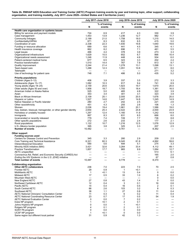| Table 2b. RWHAP AIDS Education and Training Center (AETC) Program training events by year and training topic, other support, collaborating |  |
|--------------------------------------------------------------------------------------------------------------------------------------------|--|
| organization, and training modality, July 2017–June 2020—United States and 3 territories (cont.)                                           |  |

|                                                                                       |                          | July 2017-June 2018             |                          | July 2018-June 2019      | July 2019-June 2020      |                         |  |
|---------------------------------------------------------------------------------------|--------------------------|---------------------------------|--------------------------|--------------------------|--------------------------|-------------------------|--|
|                                                                                       | N                        | % of training<br>events         | N                        | % of training<br>events  | N                        | % of training<br>events |  |
| Health care organization or systems issues                                            |                          |                                 |                          |                          |                          |                         |  |
| Billing for services and payment models                                               | 724                      | 6.9                             | 417                      | 4.3                      | 330                      | 3.9                     |  |
| Case management                                                                       | 1,453                    | 13.9                            | 1,236                    | 12.7                     | 982                      | 11.7                    |  |
| <b>Community linkages</b>                                                             | 2,199                    | 21.0                            | 1,758                    | 18.0                     | 1,215                    | 14.5                    |  |
| Confidentiality/HIPAA                                                                 | 871                      | 8.3                             | 632                      | 6.5                      | 415                      | 5.0                     |  |
| Coordination of care                                                                  | 2,338                    | 22.3                            | 1,930                    | 19.8                     | 1,640                    | 19.6                    |  |
| Funding or resource allocation                                                        | 689                      | 6.6                             | 441                      | 4.5                      | 345                      | 4.1                     |  |
| Health insurance coverage                                                             | 862                      | 8.2                             | 696                      | 7.1                      | 461                      | 5.5                     |  |
| Legal issues                                                                          | 466                      | 4.4                             | 378                      | 3.9                      | 273                      | 3.3                     |  |
| Organizational infrastructure                                                         | 1,629                    | 15.5                            | 652                      | 6.7                      | 866                      | 10.4<br>6.0             |  |
| Organizational needs assessment                                                       | 1,246                    | 11.9                            | 448                      | 4.6                      | 504                      |                         |  |
| Patient-centered medical home                                                         | 677<br>1,510             | 6.5                             | 323<br>767               | 3.3<br>7.9               | 202                      | 2.4<br>9.7              |  |
| Practice transformation                                                               |                          | 14.4                            |                          |                          | 813                      |                         |  |
| Quality improvement                                                                   | 2,244                    | 21.4                            | 1,278                    | 13.1                     | 1,098                    | 13.1                    |  |
| Team-based care                                                                       | 1,288                    | 12.3                            | 1,051                    | 10.8                     | 671                      | 8.0                     |  |
| Telehealth                                                                            |                          | $\overline{\phantom{m}}$<br>7.1 | $\overline{\phantom{0}}$ | $\overline{\phantom{0}}$ | 271                      | 3.2                     |  |
| Use of technology for patient care                                                    | 748                      |                                 | 486                      | 5.0                      | 435                      | 5.2                     |  |
| <b>Priority populations</b><br>Children (Ages 0-12)                                   | 406                      | 3.9                             | 337                      | 3.5                      | 272                      | 3.3                     |  |
| Adolescents (Ages 13-17)                                                              | 1,082                    | 10.3                            | 917                      | 9.4                      | 741                      | 8.9                     |  |
| Young adults (Ages 18-24)                                                             | 2,159                    | 20.6                            | 1,923                    | 19.7                     | 1,670                    | 20.0                    |  |
| Older adults (Ages 50 and over)                                                       | 1,958                    | 18.7                            | 1,793                    | 18.4                     | 1,381                    | 16.5                    |  |
| American Indian or Alaska Native                                                      | 525                      | 5.0                             | 465                      | 4.8                      | 322                      | 3.9                     |  |
| Asian                                                                                 | 353                      | 3.4                             | 301                      | 3.1                      | 323                      | 3.9                     |  |
| <b>Black or African American</b>                                                      | 2,109                    | 20.1                            | 2,005                    | 20.5                     | 1,676                    | 20.0                    |  |
| Hispanic or Latino                                                                    | 1,527                    | 14.6                            | 1,447                    | 14.8                     | 1,245                    | 14.9                    |  |
| Native Hawaiian or Pacific Islander                                                   | 280                      | 2.7                             | 242                      | 2.5                      | 221                      | 2.6                     |  |
| Other race/ethnicity                                                                  | 451                      | 4.3                             | 255                      | 2.6                      | 106                      | 1.3                     |  |
| Women                                                                                 | 2,036                    | 19.4                            | 1,961                    | 20.1                     | 1,586                    | 19.0                    |  |
| Gay, lesbian, bisexual, transgender, or other gender identity                         | 2,654                    | 25.3                            | 2,422                    | 24.8                     | 2,000                    | 23.9                    |  |
| Homeless or unstably housed                                                           | 1,297                    | 12.4                            | 1,160                    | 11.9                     | 1,242                    | 14.9                    |  |
| Immigrants                                                                            | 867                      | 8.3                             | 631                      | 6.5                      | 666                      | 8.0                     |  |
| Incarcerated or recently released                                                     | 779                      | 7.4                             | 749                      | 7.7                      | 736                      | 8.8                     |  |
| Other specific populations                                                            | 272                      | 2.6                             | 233                      | 2.4                      | 177                      | 2.1                     |  |
| Rural populations                                                                     | 1,122                    | 10.7                            | 1,216                    | 12.5                     | 1,076                    | 12.9                    |  |
| U.S.-Mexico border population                                                         | 395                      | 3.8                             | 325                      | 3.3                      | 207                      | 2.5                     |  |
| <b>Number of events</b>                                                               | 10,482                   |                                 | 9,761                    |                          | 8,362                    |                         |  |
| Other support                                                                         |                          |                                 |                          |                          |                          |                         |  |
| <b>Funding sources used</b>                                                           |                          |                                 |                          |                          |                          |                         |  |
| Centers for Disease Control and Prevention                                            | 345                      | 3.3                             | 280                      | 2.9                      | 209                      | 2.5                     |  |
| Core Training and Technical Assistance                                                | 6,321                    | 60.3                            | 6,045                    | 61.8                     | 4,992                    | 59.6                    |  |
| Interprofessional Education                                                           | 590                      | 5.6                             | 494                      | 5.1                      | 274                      | 3.3                     |  |
| Minority AIDS Initiative (MAI)                                                        | 3,421                    | 32.6                            | 3,264                    | 33.4                     | 4,112                    | 49.1                    |  |
| <b>Practice Transformation</b>                                                        | 1,857                    | 17.7                            | 965                      | 9.9                      | 1,064                    | 12.7                    |  |
| <b>AETC</b> unspecified                                                               | $\overline{\phantom{0}}$ |                                 |                          | $\overline{\phantom{0}}$ | 513                      | 6.1                     |  |
| Coronavirus Aid, Relief, and Economic Security (CARES) Act                            |                          |                                 |                          |                          | 165                      | 2.0                     |  |
| Ending the HIV Epidemic in the U.S. (EHE) initiative<br><b>Total number of events</b> | 10,487                   |                                 | 9,778                    |                          | 67<br>8,370              | 0.8                     |  |
|                                                                                       |                          |                                 |                          |                          |                          |                         |  |
| <b>Collaborating organization</b><br><b>Other AETC collaborators</b>                  | 236                      | 7.0                             | 223                      | 7.0                      | 70                       | 2.5                     |  |
| <b>Frontier AETC</b>                                                                  | 29                       | 0.9                             | 1                        | < 0.1                    |                          |                         |  |
| MidAtlantic AETC                                                                      | $\mathbf{1}$             | $0.1$                           | 13                       | 0.4                      | 0                        | 0.0                     |  |
| Midwest AETC                                                                          | 17                       | 0.5                             | 33                       | 1.0                      | 6                        | 0.2                     |  |
| <b>Mountain West AETC</b>                                                             | —                        | $\qquad \qquad -$               | $\overline{\phantom{m}}$ |                          | 0                        | 0.0                     |  |
| New England AETC                                                                      | 27                       | 0.8                             | 43                       | 1.4                      | 0                        | 0.0                     |  |
| Northeast Caribbean AETC                                                              | 12                       | 0.4                             | 3                        | 0.1                      | 16                       | 0.6                     |  |
| Pacific AETC                                                                          | 14                       | 0.4                             | 16                       | 0.5                      | 2                        | 0.1                     |  |
| South Central AETC                                                                    | 88                       | 2.6                             | 103                      | 3.2                      | 8                        | 0.3                     |  |
| Southeast AETC                                                                        | 38                       | 1.1                             | 27                       | 0.8                      | 11                       | 0.4                     |  |
| <b>AETC National Clinicians' Consultation Center</b>                                  | 11                       | 0.3                             | 6                        | 0.2                      | 11                       | 0.4                     |  |
| <b>AETC National Coordinating Resource Center</b>                                     | 23                       | 0.7                             | 17                       | 0.5                      | 54                       | 1.9                     |  |
| <b>AETC National Evaluation Center</b>                                                | 0                        | 0.0                             | 7                        | 0.2                      | $\overline{\phantom{0}}$ |                         |  |
| Duke NP program                                                                       | 1                        | < 0.1                           | $\sqrt{2}$               | 0.1                      | $\overline{\phantom{0}}$ |                         |  |
| Johns Hopkins NP program                                                              | 0                        | 0.0                             | $\mathbf{1}$             | $0.1$                    | $\overline{\phantom{0}}$ |                         |  |
| Rutgers NP program                                                                    | 4                        | 0.1                             | $\overline{2}$           | 0.1                      | $\overline{\phantom{0}}$ |                         |  |
| SUNY PA program                                                                       | 0                        | 0.0                             | 0                        | 0.0                      | ▃                        |                         |  |
| UCSF NP program                                                                       | 1                        | $0.1$                           | 0                        | 0.0                      | $\overline{\phantom{0}}$ |                         |  |
| Same region but different local partner                                               | 31                       | 0.9                             | 42                       | 1.3                      | $\overline{\phantom{0}}$ |                         |  |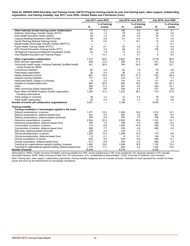| Table 2b. RWHAP AIDS Education and Training Center (AETC) Program training events by year and training topic, other support, collaborating |
|--------------------------------------------------------------------------------------------------------------------------------------------|
| organization, and training modality, July 2017-June 2020-United States and 3 territories (cont.)                                           |

|                                                                                        | July 2017-June 2018      |                          |                | July 2018-June 2019      | July 2019-June 2020      |                         |  |
|----------------------------------------------------------------------------------------|--------------------------|--------------------------|----------------|--------------------------|--------------------------|-------------------------|--|
|                                                                                        | N                        | % of training<br>events  | N              | % of training<br>events  | N                        | % of training<br>events |  |
| Other federally funded training center collaborators                                   | 175                      | 5.2                      | 198            | 6.2                      | 145                      | 5.1                     |  |
| Addiction Technology Transfer Center (ATTC)                                            | 44                       | 1.3                      | 76             | 2.4                      | 18                       | 0.6                     |  |
| Area Health Education Center (AHEC)                                                    | 39                       | 1.2                      | 49             | 4.5                      | 29                       | 1.0                     |  |
| Capacity Building Assistance (CBA) Provider                                            | 66                       | 2.0                      | 61             | 1.9                      | 14                       | 0.5                     |  |
| <b>Family Planning National Training Center</b>                                        | 0                        | 0.0                      | $\mathbf{1}$   | < 0.1                    | 12                       | 0.4                     |  |
| Mental Health Technology Transfer Centers (MHTTC)                                      | $\overline{\phantom{0}}$ | $\overline{\phantom{0}}$ | —              | $\overline{\phantom{0}}$ | 3                        | 0.1                     |  |
| Public Health Training Center (PHTC)                                                   | $\overline{4}$           | 0.1                      | 30             | 0.9                      | 16                       | 0.6                     |  |
| STD Clinical Prevention Training Center (PTC)                                          | 100                      | 3.0                      | 99             | 3.1                      | 108                      | 3.8                     |  |
| TB Regional Training and Medical Consultation Center                                   | 62                       | 1.9                      | 13             | 0.4                      | 7                        | 0.2                     |  |
| Viral Hepatitis Education and Training Project                                         | $\mathbf{1}$             | < 0.1                    | $\overline{2}$ | 0.1                      | $\mathbf 0$              | 0.0                     |  |
| Other organization collaborators                                                       | 3,137                    | 93.6                     | 2,942          | 92.4                     | 2,718                    | 96.5                    |  |
| AIDS services organization                                                             | 408                      | 12.2                     | 358            | 11.2                     | 421                      | 15.0                    |  |
| Community health center, including Federally Qualified Health<br>Center funded by HRSA | 901                      | 26.9                     | 764            | 24.0                     | 667                      | 23.7                    |  |
| Correctional institution                                                               | 94                       | 2.8                      | 62             | 1.9                      | 79                       | 2.8                     |  |
| Faith-based organization                                                               | 30                       | 0.9                      | 38             | 1.2                      | 25                       | 0.9                     |  |
| Health professions school                                                              | 651                      | 19.4                     | 870            | 27.3                     | 743                      | 26.4                    |  |
| Hispanic-serving institution                                                           | 177                      | 5.3                      | 214            | 6.7                      | 47                       | 1.7                     |  |
| Historically Black College or University                                               | 73                       | 2.2                      | 134            | 4.2                      | 171                      | 6.1                     |  |
|                                                                                        | 685                      | 20.4                     | 602            | 18.9                     | 707                      | 25.1                    |  |
| Hospital or hospital-based clinic<br>Other                                             |                          | 11.4                     |                |                          |                          | 12.1                    |  |
|                                                                                        | 382<br>287               |                          | 261<br>308     | 8.2                      | 342                      |                         |  |
| Other community-based organization                                                     |                          | 8.6                      |                | 9.7                      | 277                      | 9.8                     |  |
| Ryan White HIV/AIDS Program-funded organization,<br>including subrecipients            | 1,250                    | 37.3                     | 1,233          | 38.7                     | 773                      | 27.5                    |  |
| Tribal college or university                                                           | 39                       | 1.2                      | 12             | 0.4                      | 79                       | 2.8                     |  |
| Tribal health organization                                                             | 76                       | 2.3                      | 39             | 1.2                      | 23                       | 0.8                     |  |
| Number of events (all collaborative organizations)                                     | 3,351                    | $\overline{\phantom{0}}$ | 3,185          |                          | 2,816                    |                         |  |
| <b>Training modality</b>                                                               |                          |                          |                |                          |                          |                         |  |
| Training modalities or technologies applied in the event                               |                          |                          |                |                          |                          |                         |  |
| Didactic presentations, in-person                                                      | 1,271                    | 12.2                     | 1,324          | 13.6                     | 1,012                    | 12.1                    |  |
| Didactic presentations, distance-based (live)                                          | 241                      | 2.3                      | 282            | 2.9                      | 561                      | 6.7                     |  |
| Didactic presentations, distance-based (archived)                                      | 295                      | 2.8                      | 334            | 3.4                      | 338                      | 4.0                     |  |
| Interactive presentations, in-person                                                   | 2,334                    | 22.3                     | 2,200          | 22.6                     | 1,181                    | 14.1                    |  |
| Interactive presentations, distance-based (live)                                       | 160                      | 1.5                      | 199            | 2.0                      | 438                      | 5.2                     |  |
| Communities of practice, in-person                                                     | 713                      | 6.8                      | 1,065          | 10.9                     | 658                      | 7.9                     |  |
| Communities of practice, distance-based (live)                                         | 808                      | 7.7                      | 378            | 3.9                      | 693                      | 8.3                     |  |
| Self-study, distance-based (archived)                                                  | 229                      | 2.2                      | 124            | 1.3                      | $\overline{\phantom{0}}$ |                         |  |
| Clinical preceptorships, in-person                                                     | 1,295                    | 12.4                     | 1,359          | 13.9                     | 715                      | 8.6                     |  |
| Clinical preceptorships, distance-based (live)                                         | 15                       | 0.1                      | 6              | 0.1                      | 154                      | 1.8                     |  |
| Clinical consultation, in-person                                                       | 524                      | 5.0                      | 674            | 6.9                      | 428                      | 5.1                     |  |
| Clinical consultation, distance-based (live)                                           | 617                      | 5.9                      | 534            | 5.5                      | 585                      | 7.0                     |  |
| Coaching for organizational capacity building, in-person                               | 1,982                    | 19.0                     | 1,548          | 15.9                     | 1,122                    | 13.4                    |  |
| Coaching for organizational capacity building, distance-based (live)                   | 1,176                    | 11.3                     | 803            | 8.2                      | 1,330                    | 15.9                    |  |
| Number of events                                                                       | 10,448                   | —                        | 9,754          |                          | 8,349                    |                         |  |

*Abbreviations:* HIPAA, Health Insurance Portability and Accountability Act; HPV, human papillomavirus; NP, nurse practitioner; PA, physician assistant; STD, sexually<br>transmitted disease; SUNY, State University of New York *Note:* Training topic, other support, collaborating organization, training modality categories are not mutually exclusive. Subtotals for each represent the number of unique<br>events and serve as the denominators for percent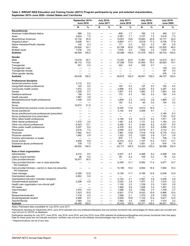#### <span id="page-15-0"></span>**Table 3. RWHAP AIDS Education and Training Center (AETC) Program participants by year and selected characteristics, September 2015–June 2020—United States and 3 territories**

|                                                                                           | September 2015-<br><b>June 2016</b> |                          |                          | <b>July 2016-</b><br><b>June 2017</b> |                                     | <b>July 2017-</b><br><b>June 2018</b> | <b>July 2018-</b><br><b>June 2019</b> |                               | July 2019–<br><b>June 2020</b>    |                                         |
|-------------------------------------------------------------------------------------------|-------------------------------------|--------------------------|--------------------------|---------------------------------------|-------------------------------------|---------------------------------------|---------------------------------------|-------------------------------|-----------------------------------|-----------------------------------------|
|                                                                                           | N                                   | %                        | N                        | %                                     | N                                   | %                                     | N                                     | %                             | N                                 | %                                       |
| Race/ethnicity                                                                            |                                     |                          |                          |                                       |                                     |                                       |                                       |                               |                                   |                                         |
| American Indian/Alaska Native                                                             | 969                                 | 2.0                      |                          |                                       | 858                                 | 1.7                                   | 785                                   | 1.5                           | 348                               | 0.7                                     |
| Asian                                                                                     | 3,624                               | 7.5                      |                          | —                                     | 3,581                               | 7.1                                   | 3,737                                 | 7.3                           | 3,516                             | 7.2                                     |
| Black/African American                                                                    | 10,132                              | 20.8                     |                          | —<br>—                                | 10,001                              | 19.8                                  | 10,663                                | 20.9                          | 10,717                            | 22.0                                    |
| Hispanic/Latino <sup>a</sup>                                                              | 6,848                               | 14.1                     |                          | —                                     | 8,663                               | 17.1                                  | 8,818                                 | 17.3                          | 8,726                             | 17.9                                    |
| Native Hawaiian/Pacific Islander                                                          | 145                                 | 0.3                      |                          | —                                     | 171                                 | 0.3                                   | 153                                   | 0.3                           | 261                               | 0.5                                     |
| White                                                                                     | 25,800                              | 53.1                     |                          | $\qquad \qquad -$                     | 25,708                              | 50.8                                  | 25,271<br>1,652                       | 49.5                          | 23,505                            | 48.2                                    |
| Multiple races<br><b>Subtotal</b>                                                         | 1,076<br>48,595                     | 2.2<br>100.0             |                          | —                                     | 1,616<br>50,598                     | 3.2<br>100.0                          | 51,079                                | 3.2<br>100.0                  | 1,679<br>48,752                   | 3.4<br>100.0                            |
| Gender                                                                                    |                                     |                          |                          |                                       |                                     |                                       |                                       |                               |                                   |                                         |
| Male                                                                                      | 12,616                              | 25.7                     |                          |                                       | 12,251                              | 24.6                                  | 11,961                                | 23.9                          | 12,012                            | 24.7                                    |
| Female                                                                                    | 36,172                              | 73.8                     |                          |                                       | 37,299                              | 74.8                                  | 37,655                                | 75.4                          | 35,923                            | 73.7                                    |
| Transgender                                                                               | 251                                 | 0.5                      |                          | —                                     | 322                                 | 0.6                                   | 335                                   | 0.7                           | $\overline{\phantom{m}}$          |                                         |
| Transgender male                                                                          |                                     | $\overline{\phantom{0}}$ |                          |                                       | $\overline{\phantom{0}}$            | $\overline{\phantom{0}}$              | $\overline{\phantom{0}}$              |                               | 129                               | 0.3                                     |
| Transgender female                                                                        |                                     |                          |                          |                                       |                                     | —                                     |                                       | —                             | 187                               | 0.4                                     |
| Other gender identity                                                                     |                                     |                          |                          |                                       |                                     | —                                     |                                       |                               | 476                               | 1.0                                     |
| <b>Subtotal</b>                                                                           | 49,039                              | 100.0                    |                          | and the                               | 49,872                              | 100.0                                 | 49,951                                | 100.0                         | 48,727                            | 100.0                                   |
| <b>Professional discipline</b>                                                            |                                     |                          |                          |                                       |                                     |                                       |                                       |                               |                                   |                                         |
| Advanced practice nurse                                                                   | 3,112                               | 6.2                      |                          |                                       |                                     |                                       |                                       |                               |                                   |                                         |
| Clergy/faith-based professional                                                           | 103                                 | 0.2                      |                          | —                                     | 105                                 | 0.2                                   | 127                                   | 0.2                           | 100                               | 0.2                                     |
| Community health worker                                                                   | 1,672                               | 3.3                      |                          |                                       | 2,896                               | 5.5                                   | 3,420                                 | 6.4                           | 3,287                             | 6.4                                     |
| Dentist                                                                                   | 1,326                               | 2.7                      |                          | —                                     | 1,601                               | 3.0                                   | 1,983                                 | 3.7                           | 1,843                             | 3.6                                     |
| Dietitian/nutritionist                                                                    | 199                                 | 0.4                      |                          | and the                               | 170                                 | 0.3                                   | 183                                   | 0.3                           | 184                               | 0.4                                     |
| Health educator                                                                           | 1,967                               | 3.9                      |                          | $\overline{\phantom{0}}$              | $\overline{\phantom{0}}$            | $\qquad \qquad \longleftarrow$        | $\overline{\phantom{0}}$              | $\overline{\phantom{m}}$      | $\overline{\phantom{0}}$          | $\overline{\phantom{m}}$                |
| Mental/behavioral health professional                                                     | 1,448                               | 2.9                      |                          |                                       | 1,809                               | 3.4                                   | 1,912                                 | 3.6                           | 1,869                             | 3.7                                     |
| Midwife                                                                                   |                                     |                          |                          | —                                     | 152                                 | 0.3                                   | 90                                    | 0.2                           | 104                               | 0.2                                     |
| Nurse                                                                                     | 10,874                              | 21.8                     |                          | —<br>—                                | —                                   | $\qquad \qquad \longleftarrow$        | -                                     | $\overline{\phantom{0}}$      |                                   | $\qquad \qquad -$                       |
| Nurse/advanced practice nurse (non-prescriber)                                            |                                     | $\overline{\phantom{0}}$ |                          | —                                     | 9,335                               | 17.6                                  | 8,813                                 | 16.5                          |                                   | -                                       |
| Nurse practitioner                                                                        |                                     |                          | $\overline{\phantom{0}}$ | $\qquad \qquad -$                     | 3,142                               | 5.9                                   | 3,059                                 | 5.7                           | $\overline{\phantom{m}}$<br>3,190 | $\overbrace{\phantom{12322111}}$<br>6.3 |
| Nurse practitioner/nurse professional (prescriber)<br>Nurse professional (non-prescriber) |                                     | —                        |                          | —                                     | $\qquad \qquad \longleftarrow$<br>- | $\qquad \qquad \longleftarrow$        | $\overline{\phantom{0}}$              | $\overbrace{\phantom{aaaaa}}$ | 7,743                             | 15.2                                    |
| Other allied health professional                                                          |                                     |                          |                          | —                                     | 3,156                               | -<br>5.9                              | 3,214                                 | 6.0                           | 1,971                             | 3.9                                     |
| Other dental professional                                                                 | 1,475                               | 3.0                      |                          | —                                     | 1,481                               | 2.8                                   | 1,171                                 | 2.2                           | 1,180                             | 2.3                                     |
| Other non-clinical professional                                                           | 6,543                               | 13.1                     |                          | $\overline{\phantom{0}}$              | 4,295                               | 8.1                                   | 4,383                                 | 8.2                           | 4,327                             | 8.5                                     |
| Other public health professional                                                          | 3,257                               | 6.5                      |                          | —                                     | 4,379                               | 8.2                                   | 5,101                                 | 9.5                           | 5,858                             | 11.5                                    |
| Pharmacist                                                                                | 3,616                               | 7.2                      |                          |                                       | 3,290                               | 6.2                                   | 3,279                                 | 6.1                           | 3,112                             | 6.1                                     |
| Physician                                                                                 | 7,682                               | 15.4                     |                          | —                                     | 7,861                               | 14.8                                  | 7,416                                 | 13.9                          | 6,779                             | 13.3                                    |
| Physician assistant                                                                       | 1,462                               | 2.9                      |                          | $\overline{\phantom{0}}$              | 1,322                               | 2.5                                   | 1,525                                 | 2.9                           | 1,311                             | 2.6                                     |
| Practice administrator or leader                                                          |                                     | $\overline{\phantom{m}}$ |                          | $\overline{\phantom{0}}$              | 878                                 | 1.7                                   | 798                                   | 1.5                           | 756                               | 1.5                                     |
| Social worker                                                                             | 4,459                               | 8.9                      |                          | $\overline{\phantom{0}}$              | 6,514                               | 12.3                                  | 7,107                                 | 13.3                          | 7,011                             | 13.7                                    |
| Substance abuse professional                                                              | 739                                 | 1.5                      |                          | —                                     | 957                                 | 1.8                                   | 1,051                                 | 2.0                           | 918                               | 1.8                                     |
| Subtotal                                                                                  | 49,932                              | 100.0                    |                          |                                       | 53,117                              | 100.0                                 | 53,420                                | 100.0                         | 50,996                            | 100.0                                   |
| Role in their organization                                                                |                                     |                          |                          |                                       |                                     |                                       |                                       |                               |                                   |                                         |
| Administrator                                                                             | 4,212                               | 8.5                      |                          |                                       | 4,537                               | 8.7                                   | 4,366                                 | 8.2                           | 4,599                             | 9.9                                     |
| Agency board member                                                                       | 96                                  | 0.2                      |                          |                                       | 85                                  | 0.2                                   | 105                                   | 0.2                           | 76                                | 0.2                                     |
| Care provider/clinician                                                                   | 16,977                              | 34.3                     |                          |                                       |                                     |                                       |                                       |                               |                                   |                                         |
| Care provider/clinician-can or does prescribe<br><b>HIV</b> treatment                     |                                     |                          |                          |                                       | 6,349                               | 12.1                                  | 6,082                                 | 11.4                          | 4,977                             | 10.7                                    |
| Care provider/clinician-cannot or does not prescribe                                      |                                     |                          |                          |                                       | 10,185                              | 19.4                                  | 9,802                                 | 18.4                          | 7,650                             | 16.4                                    |
| HIV treatment<br>Case manager                                                             | 6,395                               | 12.9                     |                          |                                       | 6,136                               |                                       | 6,795                                 |                               | 6,038                             | 12.9                                    |
| Client/patient educator                                                                   | 2,853                               | 5.8                      |                          |                                       |                                     | 11.7<br>$\qquad \qquad -$             |                                       | 12.8                          |                                   |                                         |
| Client/patient educator (includes navigator)                                              |                                     |                          |                          | —                                     | 2,154                               | 4.1                                   | 2,567                                 | 4.8                           | 2,248                             | 4.8                                     |
| Clinical/medical assistant                                                                | 2,296                               | 4.6                      |                          | —                                     | 2,030                               | 3.9                                   | 1,977                                 | 3.7                           | 1,510                             | 3.2                                     |
| Health care organization non-clinical staff                                               |                                     |                          |                          | —                                     | 1,150                               | 2.2                                   | 1,339                                 | 2.5                           | 1,303                             | 2.8                                     |
| <b>HIV</b> tester                                                                         | —                                   |                          |                          |                                       | 1,466                               | 2.8                                   | 1,836                                 | 3.4                           | 1,491                             | 3.2                                     |
| Intern/resident                                                                           | 1,970                               | 4.0                      |                          | —                                     | 1,596                               | 3.0                                   | 1,952                                 | 3.7                           | 1,746                             | 3.7                                     |
| Other                                                                                     | 7,423                               | 15.0                     |                          | $\qquad \qquad -$                     | 8,921                               | 17.0                                  | 8,423                                 | 15.8                          | 6,986                             | 15.0                                    |
| Researcher/evaluator                                                                      | 1,218                               | 2.5                      |                          | $\overline{\phantom{0}}$              | 1,099                               | 2.1                                   | 1,370                                 | 2.6                           | 1,530                             | 3.3                                     |
| Student/graduate student                                                                  | 4,488                               | 9.1                      |                          | $\qquad \qquad \longleftarrow$        | 5,559                               | 10.6                                  | 7,122                                 | 13.4                          | 5,617                             | 12.0                                    |
| Teacher/faculty                                                                           | 1,564                               | 3.2                      |                          | —                                     | 1,593                               | 3.0                                   | 1,650                                 | 3.1                           | 1,474                             | 3.2                                     |
| Subtotal                                                                                  | 49,490                              | 100.0                    |                          |                                       | 52,433                              | 100.0                                 | 53,271                                | 100.0                         | 46,627                            | 100.0                                   |

*Notes:* Participant data unavailable for July 2016–June 2017.

Participants reporting for September 2015–June 2016 selected only one profession/discipline and one primary functional role; percentages for these years are rounded and may not sum to 100.0% as displayed.

Participants reporting for July 2017–June 2018, July 2018–June 2019, and July 2019–June 2020 selected all professions/disciplines and primary functional roles that apply. Data for these years are not mutually exclusive; numbers may not sum to the subtotal, and percentages may not sum to 100.0%.

a Hispanics/Latinos can be of any race.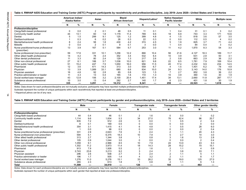$\vec{4}$ 

#### **Table 4. RWHAP AIDS Education and Training Center (AETC) Program participants by race/ethnicity and profession/discipline, July 2019–June 2020—United States and 3 territories**

|                                                       | American Indian/ | Alaska Native | Asian |      | Black/<br>African American |      | Hispanic/Latino <sup>a</sup> |      | Native Hawaiian/<br><b>Pacific Islander</b> |      | White  |      | <b>Multiple races</b> |      |
|-------------------------------------------------------|------------------|---------------|-------|------|----------------------------|------|------------------------------|------|---------------------------------------------|------|--------|------|-----------------------|------|
|                                                       | N                | %             | N     | %    | N                          | %    | N                            | %    | N                                           | %    | N      | %    | N                     | %    |
| Profession/discipline                                 |                  |               |       |      |                            |      |                              |      |                                             |      |        |      |                       |      |
| Clergy/faith-based professional                       | 0                | 0.0           | 2     | 0.1  | 48                         | 0.5  | 11                           | 0.1  |                                             | 0.4  | 31     | 0.1  | 3                     | 0.2  |
| Community health worker                               | 44               | 13.1          | 60    | 1.8  | 1.179                      | 11.4 | 789                          | 9.5  | 18                                          | 6.9  | 743    | 3.3  | 171                   | 10.6 |
| Dentist                                               |                  | 1.5           | 299   | 9.1  | 125                        | 1.2  | 399                          | 4.8  |                                             | 1.5  | 818    | 3.6  | 57                    | 3.5  |
| Dietitian/nutritionist                                |                  | 0.3           | 6     | 0.2  | 26                         | 0.3  | 22                           | 0.3  | 0                                           | 0.0  | 112    | 0.5  |                       | 0.2  |
| Mental/behavioral health professional                 |                  | 2.4           | 58    | 1.8  | 430                        | 4.2  | 374                          | 4.5  |                                             | 1.9  | 825    | 3.7  | 71                    | 4.4  |
| Midwife                                               |                  | 0.0           |       | 0.1  | 9                          | 0.1  | 3                            | 0.0  |                                             | 0.4  | 84     | 0.4  | 3                     | 0.2  |
| Nurse practitioner/nurse professional<br>(prescriber) | 13               | 3.9           | 167   | 5.1  | 584                        | 5.7  | 253                          | 3.0  | 11                                          | 4.2  | 1,870  | 8.3  | 54                    | 3.3  |
| Nurse professional (non-prescriber)                   | 59               | 17.6          | 331   | 10.1 | 1,256                      | 12.2 | 866                          | 10.4 | 56                                          | 21.6 | 4,127  | 18.3 | 189                   | 11.7 |
| Other allied health professional                      | 14               | 4.2           | 78    | 2.4  | 352                        | 3.4  | 532                          | 6.4  | 10                                          | 3.9  | 631    | 2.8  | 50                    | 3.1  |
| Other dental professional                             |                  | 3.3           | 80    | 2.4  | 129                        | 1.3  | 217                          | 2.6  | $\overline{2}$                              | 0.8  | 663    | 2.9  | 36                    | 2.2  |
| Other non-clinical professional                       | 27               | 8.1           | 188   | 5.7  | 1,036                      | 10.0 | 821                          | 9.8  | 22                                          | 8.5  | 1,781  | 7.9  | 169                   | 10.4 |
| Other public health professional                      | 51               | 15.2          | 247   | 7.5  | 1,650                      | 16.0 | 956                          | 11.5 | 45                                          | 17.4 | 2,232  | 9.9  | 234                   | 14.5 |
| Pharmacist                                            | 12               | 3.6           | 471   | 14.3 | 313                        | 3.0  | 559                          | 6.7  | 4                                           | 1.5  | 1.401  | 6.2  | 78                    | 4.8  |
| Physician                                             | 13               | 3.9           | 1,089 | 33.1 | 680                        | 6.6  | 834                          | 10.0 | 24                                          | 9.3  | 3.143  | 14.0 | 176                   | 10.9 |
| Physician assistant                                   | 16               | 4.8           | 92    | 2.8  | 85                         | 0.8  | 123                          | 1.5  |                                             | 2.7  | 852    | 3.8  | 36                    | 2.2  |
| Practice administrator or leader                      |                  | 3.3           | 13    | 0.4  | 165                        | 1.6  | 110                          | 1.3  | 10                                          | 3.9  | 360    | 1.6  | 30                    | 1.9  |
| Social worker/case manager                            | 43               | 12.8          | 106   | 3.2  | 2,100                      | 20.4 | 1,451                        | 17.4 | 34                                          | 13.1 | 2,660  | 11.8 | 287                   | 17.7 |
| Substance abuse professional                          | 10               | 3.0           | 13    | 0.4  | 282                        | 2.7  | 140                          | 1.7  | 6                                           | 2.3  | 401    | 1.8  | 30                    | 1.9  |
| Total                                                 | 335              | -             | 3.291 |      | 10,312                     |      | 8,341                        |      | 259                                         |      | 22,523 |      | 1,618                 |      |

<span id="page-16-0"></span>*Notes:* Data shown for each profession/discipline are not mutually exclusive; participants may have reported multiple professions/disciplines.

Subtotals represent the number of unique participants within each race/ethnicity that reported at least one profession/discipline.

a Hispanics/Latinos can be of any race.

#### **Table 5. RWHAP AIDS Education and Training Center (AETC) Program participants by gender and profession/discipline, July 2019–June 2020—United States and 3 territories**

|                                                    | <b>Male</b> |      |        | Female |     | <b>Transgender male</b> |     | <b>Transgender female</b> | Other gender identity |      |  |
|----------------------------------------------------|-------------|------|--------|--------|-----|-------------------------|-----|---------------------------|-----------------------|------|--|
|                                                    | N           | %    | N      | %      | N   | %                       | N   | ℅                         | N                     | %    |  |
| Profession/discipline                              |             |      |        |        |     |                         |     |                           |                       |      |  |
| Clergy/faith-based professional                    | 44          | 0.4  | 46     | 0.1    |     | 1.6                     |     | 0.0                       |                       | 0.2  |  |
| Community health worker                            | 1.114       | 9.6  | 1,834  | 5.3    | 34  | 27.0                    | 78  | 42.4                      | 96                    | 20.7 |  |
| Dentist                                            | 835         | 7.2  | 912    | 2.6    |     | 0.0                     |     | 0.5                       |                       | 0.4  |  |
| Dietitian/nutritionist                             |             | 0.1  | 169    | 0.5    |     | 0.0                     |     | 0.0                       |                       | 0.0  |  |
| Mental/behavioral health professional              | 354         | 3.1  | 1,415  | 4.1    |     | 4.8                     |     | 0.5                       | 28                    | 6.0  |  |
| Midwife                                            |             | 0.0  | 98     | 0.3    |     | 0.0                     |     | 0.0                       |                       | 0.4  |  |
| Nurse practitioner/nurse professional (prescriber) | 331         | 2.9  | 2,643  | 7.6    |     | 2.4                     |     | 1.1                       | 20                    | 4.3  |  |
| Nurse professional (non-prescriber)                | 594         | 5.1  | 6,375  | 18.3   | 10  | 7.9                     |     | 2.7                       | 14                    | 3.0  |  |
| Other allied health professional                   | 313         | 2.7  | 1,344  | 3.8    |     | 0.8                     |     | 1.6                       | 13                    | 2.8  |  |
| Other dental professional                          | 105         | 0.9  | 1,044  | 3.0    |     | 0.0                     |     | 0.0                       |                       | 0.4  |  |
| Other non-clinical professional                    | 1,059       | 9.1  | 2,966  | 8.5    | 10  | 7.9                     | 24  | 13.0                      | 43                    | 9.3  |  |
| Other public health professional                   | .302        | 11.2 | 3,973  | 11.4   | 18  | 14.3                    | 28  | 15.2                      | 70                    | 15.1 |  |
| Pharmacist                                         | 913         | 7.9  | 1,926  | 5.5    |     | 1.6                     |     | 1.1                       |                       | 0.9  |  |
| Physician                                          | 2,743       | 23.6 | 3,213  | 9.2    |     | 2.4                     |     | 3.8                       | 33                    | 7.1  |  |
| Physician assistant                                | 296         | 2.6  | 938    | 2.7    |     | 2.4                     |     | 1.1                       |                       | 1.1  |  |
| Practice administrator or leader                   | 196         | 1.7  | 505    | 1.4    |     | 3.2                     |     | 1.1                       | 8                     | 1.7  |  |
| Social worker/case manager                         | 1,276       | 11.0 | 5,276  | 15.1   | 33  | 26.2                    | 35  | 19.0                      | 125                   | 27.0 |  |
| Substance abuse professional                       | 265         | 2.3  | 613    | 1.8    |     | 0.8                     |     | 1.1                       |                       | 1.3  |  |
| <b>Total</b>                                       | 11,599      |      | 34,919 |        | 126 |                         | 184 |                           | 463                   |      |  |

<span id="page-16-1"></span>*Notes:* Data shown for each profession/discipline are not mutually exclusive; participants may have reported multiple professions/disciplines.

Subtotals represent the number of unique participants within each gender that reported at least one profession/discipline.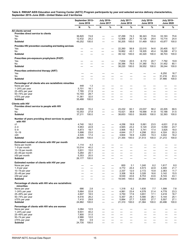#### <span id="page-17-0"></span>**Table 6. RWHAP AIDS Education and Training Center (AETC) Program participants by year and selected service delivery characteristics, September 2015–June 2020—United States and 3 territories**

|                                                                    | September 2015-<br><b>June 2016</b> |              | <b>July 2016-</b><br><b>June 2017</b>                |                                  | July 2017-<br><b>June 2018</b>                      |               | July 2018-<br><b>June 2019</b> |                               | July 2019-<br><b>June 2020</b>                             |                        |
|--------------------------------------------------------------------|-------------------------------------|--------------|------------------------------------------------------|----------------------------------|-----------------------------------------------------|---------------|--------------------------------|-------------------------------|------------------------------------------------------------|------------------------|
|                                                                    | N                                   | %            | N                                                    | %                                | N                                                   | %             | N                              | %                             | N                                                          | %                      |
| All clients served                                                 |                                     |              |                                                      |                                  |                                                     |               |                                |                               |                                                            |                        |
| Provides direct service to clients<br>Yes                          | 36,820                              |              |                                                      |                                  |                                                     |               | 36,343                         | 70.6                          | 33,163                                                     |                        |
| No                                                                 | 12,432                              | 74.8<br>25.2 | —                                                    |                                  | 37,299<br>12,906                                    | 74.3<br>25.7  | 15,126                         | 29.4                          | 10,714                                                     | 75.6<br>24.4           |
| <b>Subtotal</b>                                                    | 49,252                              | 100.0        | $\overline{\phantom{0}}$                             | $\overline{\phantom{0}}$         | 50,205                                              | 100.0         | 51,469                         | 100.0                         | 43,877                                                     | 100.0                  |
| Provides HIV prevention counseling and testing services            |                                     |              |                                                      |                                  |                                                     |               |                                |                               |                                                            |                        |
| Yes                                                                |                                     |              |                                                      |                                  | 22,260                                              | 56.9          | 22,015                         | 54.6                          | 20,405                                                     | 52.7                   |
| No                                                                 |                                     |              |                                                      | —                                | 16,862                                              | 43.1          | 18,305                         | 45.4                          | 18,298                                                     | 47.3                   |
| <b>Subtotal</b>                                                    | $\overline{\phantom{0}}$            | —            | $\overline{\phantom{0}}$                             |                                  | 39,122                                              | 100.0         | 40,320                         | 100.0                         | 38,703                                                     | 100.0                  |
| Prescribes pre-exposure prophylaxis (PrEP)                         |                                     |              |                                                      |                                  |                                                     |               |                                |                               |                                                            |                        |
| Yes                                                                |                                     |              |                                                      |                                  | 7,834                                               | 20.5          | 8,172                          | 20.7                          | 7,792                                                      | 19.9                   |
| No<br><b>Subtotal</b>                                              |                                     |              |                                                      |                                  | 30,386<br>38,220                                    | 79.5<br>100.0 | 31,380<br>39,552               | 79.3<br>100.0                 | 31,452<br>39,244                                           | 80.1<br>100.0          |
|                                                                    |                                     |              |                                                      |                                  |                                                     |               |                                |                               |                                                            |                        |
| Prescribes antiretroviral therapy (ART)<br>Yes                     |                                     |              |                                                      |                                  |                                                     |               |                                |                               | 6,250                                                      | 16.7                   |
| No                                                                 |                                     | —            | $\overline{\phantom{0}}$                             | $\overline{\phantom{0}}$         |                                                     | —             |                                | —                             | 31,216                                                     | 83.3                   |
| <b>Subtotal</b>                                                    |                                     |              |                                                      |                                  |                                                     |               | $\overline{\phantom{0}}$       |                               | 37,466                                                     | 100.0                  |
| Percentage of all clients who are racial/ethnic minorities         |                                     |              |                                                      |                                  |                                                     |               |                                |                               |                                                            |                        |
| None per year                                                      | 448                                 | 1.3          |                                                      |                                  |                                                     |               |                                |                               |                                                            |                        |
| $1-24%$ per year                                                   | 5,701                               | 16.1         |                                                      |                                  |                                                     |               |                                | —                             |                                                            |                        |
| 25-49% per year<br>50-74% per year                                 | 7,785<br>10,193                     | 21.9<br>28.7 | —<br>—                                               | $\overline{\phantom{m}}$<br>—    | $\qquad \qquad \longleftarrow$<br>$\qquad \qquad -$ | —<br><u>—</u> |                                | —<br>—                        | $\overline{\phantom{0}}$<br>$\qquad \qquad \longleftarrow$ | —<br>$\qquad \qquad -$ |
| ≥75% per year                                                      | 11,361                              | 32.0         | $\overline{\phantom{0}}$                             | $\overbrace{\phantom{12322111}}$ | $\qquad \qquad \longleftarrow$                      | —             |                                | —                             | $\overline{\phantom{m}}$                                   | $\qquad \qquad -$      |
| <b>Subtotal</b>                                                    | 35,488                              | 100.0        |                                                      |                                  |                                                     |               |                                |                               |                                                            | -                      |
| Clients with HIV<br>Provides direct service to people with HIV     |                                     |              |                                                      |                                  |                                                     |               |                                |                               |                                                            |                        |
| Yes                                                                | 26,858                              | 72.2         |                                                      |                                  | 23,232                                              | 60.1          | 23,037                         | 58.2                          | 22,205                                                     | 68.5                   |
| No                                                                 | 10,353                              | 27.8         |                                                      | $\qquad \qquad \longleftarrow$   | 15,421                                              | 39.9          | 16,568                         | 41.8                          | 10,188                                                     | 31.5                   |
| Subtotal                                                           | 37,211                              | 100.0        |                                                      |                                  | 38,653                                              | 100.0         | 39,605                         | 100.0                         | 32,393                                                     | 100.0                  |
| Number of years providing direct services to people<br>with HIV    |                                     |              |                                                      |                                  |                                                     |               |                                |                               |                                                            |                        |
| ≤1                                                                 | 4,740                               | 18.2         |                                                      |                                  | 4,256                                               | 19.9          | 5,061                          | 23.5                          | 4,631                                                      | 21.8                   |
| $2 - 4$<br>$5 - 9$                                                 | 5,953<br>4,873                      | 22.8<br>18.7 |                                                      | —                                | 4,945<br>3,906                                      | 23.2<br>18.3  | 5,120<br>3,741                 | 23.8<br>17.4                  | 5,050<br>3,825                                             | 23.7<br>18.0           |
| $10 - 19$                                                          | 5,998                               | 23.0         | —                                                    | —                                | 4,644                                               | 21.7          | 4,298                          | 20.0                          | 4,324                                                      | 20.3                   |
| $\geq 20$                                                          | 4,535                               | 17.4         | $\overline{\phantom{0}}$                             | —                                | 3,604                                               | 16.9          | 3,293                          | 15.3                          | 3,442                                                      | 16.2                   |
| <b>Subtotal</b>                                                    | 26,099                              | 100.0        | $\overline{\phantom{0}}$                             | $\overline{\phantom{m}}$         | 21,355                                              | 100.0         | 21,513                         | 100.0                         | 21,272                                                     | 100.0                  |
| Estimated number of clients with HIV per month                     |                                     |              |                                                      |                                  |                                                     |               |                                |                               |                                                            |                        |
| None per month                                                     | 1,114                               | 4.3          |                                                      |                                  |                                                     |               |                                |                               |                                                            |                        |
| 1-9 per month<br>10-19 per month                                   | 10,514<br>3,931                     | 40.2<br>15.0 |                                                      | —                                | $\qquad \qquad -$                                   | —             |                                | —                             | $\overline{\phantom{0}}$                                   | —                      |
| 20-49 per month                                                    | 5,264                               | 20.1         |                                                      |                                  | —                                                   | —             |                                |                               | —                                                          |                        |
| ≥50 per month                                                      | 5,353                               | 20.5         |                                                      |                                  |                                                     |               |                                |                               |                                                            | --                     |
| <b>Subtotal</b>                                                    | 26,177                              | 100.0        |                                                      |                                  |                                                     |               |                                |                               |                                                            |                        |
| Estimated number of clients with HIV per year                      |                                     |              |                                                      |                                  |                                                     |               |                                |                               |                                                            |                        |
| None per year                                                      |                                     |              | —                                                    | —                                | 600                                                 | 3.1           | 1,240                          | 6.2                           | 1,617                                                      | 8.0                    |
| 1–9 per year<br>10-19 per year                                     |                                     | —            | -<br>$\overline{\phantom{m}}$                        | —<br>$\overline{\phantom{m}}$    | 4,772<br>2,337                                      | 24.4<br>12.0  | 4,573<br>2,172                 | 22.8<br>10.8                  | 4,400<br>2,363                                             | 21.7<br>11.7           |
| 20-49 per year                                                     | $\overline{\phantom{0}}$            |              |                                                      |                                  | 3,306                                               | 16.9          | 3,326                          | 16.6                          | 3,142                                                      | 15.5                   |
| ≥50 per year                                                       | $\overline{\phantom{0}}$            | —            | $\qquad \qquad -$                                    | $\overline{\phantom{m}}$         | 8,530                                               | 43.6          | 8,753                          | 43.6                          | 8,724                                                      | 43.1                   |
| <b>Subtotal</b>                                                    |                                     | —            | $\overline{\phantom{0}}$                             |                                  | 19,545                                              | 100.0         | 20,064                         | 100.0                         | 20,246                                                     | 100.0                  |
| Percentage of clients with HIV who are racial/ethnic<br>minorities |                                     |              |                                                      |                                  |                                                     |               |                                |                               |                                                            |                        |
| None per year                                                      | 686                                 | 2.8          |                                                      |                                  | 1,318                                               | 6.2           | 1,635                          | 7.7                           | 1,599                                                      | 7.8                    |
| $1-24%$ per year                                                   | 5,664                               | 22.8         | $\qquad \qquad \longleftarrow$                       | $\overline{\phantom{m}}$         | 4,991                                               | 23.4          | 4,578                          | 21.4                          | 4,778                                                      | 23.3                   |
| 25-49% per year<br>50-74% per year                                 | 4,607<br>6,516                      | 18.5<br>26.2 | $\overline{\phantom{0}}$<br>$\overline{\phantom{0}}$ | —                                | 3,750<br>5,357                                      | 17.6<br>25.1  | 3,651<br>5,580                 | 17.1<br>26.1                  | 3,418<br>5,144                                             | 16.7<br>25.1           |
| ≥75% per year                                                      | 7,410                               | 29.8         | —                                                    | —                                | 5,894                                               | 27.7          | 5,920                          | 27.7                          | 5,557                                                      | 27.1                   |
| Subtotal                                                           | 24,882                              | 100.0        | $\overline{\phantom{0}}$                             |                                  | 21,310                                              | 100.0         | 21,364                         | 100.0                         | 20,496                                                     | 100.0                  |
| Percentage of clients with HIV who are women                       |                                     |              |                                                      |                                  |                                                     |               |                                |                               |                                                            |                        |
| None per year                                                      | 3,084                               | 12.5         |                                                      |                                  |                                                     |               |                                |                               |                                                            |                        |
| $1-24%$ per year                                                   | 9,931                               | 40.2         | $\overline{\phantom{0}}$                             | $\overline{\phantom{0}}$         |                                                     |               | $\overline{\phantom{0}}$       | —<br>$\overline{\phantom{0}}$ | $\qquad \qquad \longleftarrow$<br>$\overline{\phantom{0}}$ |                        |
| 25-49% per year<br>50-74 per year                                  | 7,800<br>2,966                      | 31.5<br>12.0 |                                                      | $\overline{\phantom{0}}$         | $\qquad \qquad -$                                   |               | $\overline{\phantom{0}}$       | $\overline{\phantom{0}}$      |                                                            | —                      |
| ≥75% per year                                                      | 954                                 | 3.9          | —                                                    | —                                | $\qquad \qquad -$                                   | —             | —                              | —                             | $\overline{\phantom{0}}$                                   | —                      |
| <b>Subtotal</b>                                                    | 24,735                              | 100.0        |                                                      |                                  |                                                     |               |                                |                               |                                                            | —                      |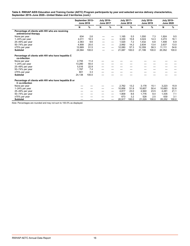**Table 6. RWHAP AIDS Education and Training Center (AETC) Program participants by year and selected service delivery characteristics, September 2015–June 2020—United States and 3 territories** *(cont.)*

|                                                                          | September 2015-<br><b>June 2016</b> |       | July 2016-<br><b>June 2017</b> |   | July 2017-<br><b>June 2018</b> |       | July 2018-<br><b>June 2019</b> |       | <b>July 2019-</b><br><b>June 2020</b> |       |
|--------------------------------------------------------------------------|-------------------------------------|-------|--------------------------------|---|--------------------------------|-------|--------------------------------|-------|---------------------------------------|-------|
|                                                                          | N                                   | %     | N                              | % | N                              | $\%$  | N                              | $\%$  | N                                     | $\%$  |
| Percentage of clients with HIV who are receiving                         |                                     |       |                                |   |                                |       |                                |       |                                       |       |
| antiretroviral therapy                                                   |                                     |       |                                |   |                                |       |                                |       |                                       |       |
| None per year                                                            | 634                                 | 2.6   |                                |   | 1,165                          | 5.5   | 1,550                          | 7.3   | 1,924                                 | 9.5   |
| $1-24\%$ per year                                                        | 4.011                               | 16.3  |                                |   | 3,330                          | 15.8  | 3.024                          | 14.3  | 3.272                                 | 16.1  |
| 25-49% per year                                                          | 2,363                               | 9.6   |                                |   | 1,520                          | 7.2   | 1,432                          | 6.8   | 1,408                                 | 6.9   |
| 50-74% per year                                                          | 4,908                               | 20.0  |                                |   | 2,992                          | 14.2  | 2,834                          | 13.4  | 2,637                                 | 13.0  |
| $\geq$ 75% per year                                                      | 12.669                              | 51.5  |                                |   | 12,080                         | 57.3  | 12,359                         | 58.3  | 11.111                                | 54.6  |
| <b>Subtotal</b>                                                          | 24,584                              | 100.0 |                                |   | 21,087                         | 100.0 | 21,199                         | 100.0 | 20,352                                | 100.0 |
| Percentage of clients with HIV who have hepatitis C<br>co-infection      |                                     |       |                                |   |                                |       |                                |       |                                       |       |
| None per year                                                            | 2,755                               | 11.4  |                                |   |                                |       |                                |       |                                       |       |
| 1-24% per year                                                           | 13,280                              | 55.0  |                                |   |                                |       |                                |       |                                       |       |
| 25-49% per year                                                          | 5,516                               | 22.9  |                                |   |                                |       |                                |       |                                       |       |
| 50-74% per year                                                          | 1,787                               | 7.4   |                                |   |                                |       |                                |       |                                       |       |
| $\geq$ 75% per year                                                      | 801                                 | 3.3   |                                |   |                                |       |                                |       |                                       |       |
| <b>Subtotal</b>                                                          | 24,138                              | 100.0 |                                |   |                                |       |                                |       |                                       |       |
| Percentage of clients with HIV who have hepatitis B or<br>C co-infection |                                     |       |                                |   |                                |       |                                |       |                                       |       |
| None per year                                                            |                                     |       |                                |   | 2.762                          | 13.2  | 3.178                          | 15.1  | 3,223                                 | 15.9  |
| $1-24%$ per year                                                         |                                     |       |                                |   | 10,856                         | 51.9  | 10.607                         | 50.4  | 10.683                                | 52.8  |
| 25-49% per year                                                          |                                     |       |                                |   | 4.817                          | 23.0  | 4.940                          | 23.5  | 4.281                                 | 21.1  |
| 50-74% per year                                                          |                                     |       |                                |   | 1,809                          | 8.6   | 1,776                          | 8.4   | 1.435                                 | 7.1   |
| ≥75% per year                                                            |                                     |       |                                |   | 673                            | 3.2   | 528                            | 2.5   | 630                                   | 3.1   |
| <b>Subtotal</b>                                                          |                                     |       |                                |   | 20,917                         | 100.0 | 21,029                         | 100.0 | 20,252                                | 100.0 |

*Note:* Percentages are rounded and may not sum to 100.0% as displayed.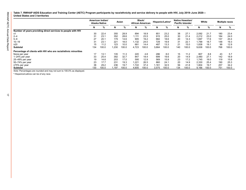<span id="page-19-0"></span>**Table 7. RWHAP AIDS Education and Training Center (AETC) Program participants by race/ethnicity and service delivery to people with HIV, July 2019–June 2020— United States and 3 territories**

|                                                                 |     | American Indian/<br>Alaska Native | Asian |       | Black/<br><b>African American</b> |       | Hispanic/Latino <sup>a</sup> |       | Native Hawaiian/<br><b>Pacific Islander</b> |       | White |       | <b>Multiple races</b> |       |
|-----------------------------------------------------------------|-----|-----------------------------------|-------|-------|-----------------------------------|-------|------------------------------|-------|---------------------------------------------|-------|-------|-------|-----------------------|-------|
|                                                                 | N   | %                                 | N     | %     | N                                 | %     | N                            | %     | N                                           | ℅     | N     | %     | N                     | %     |
| Number of years providing direct services to people with HIV    |     |                                   |       |       |                                   |       |                              |       |                                             |       |       |       |                       |       |
| ≤1                                                              | 30  | 22.4                              | 355   | 28.9  | 894                               | 18.9  | 851                          | 23.2  | 38                                          | 27.1  | 2,092 | 21.7  | 180                   | 23.4  |
| $2 - 4$                                                         | 31  | 23.1                              | 352   | 28.6  | 1,111                             | 23.5  | 915                          | 25.0  | 30                                          | 21.4  | 2,212 | 23.0  | 184                   | 24.0  |
| $5 - 9$                                                         | 27  | 20.1                              | 179   | 14.6  | 905                               | 19.2  | 682                          | 18.6  | 20                                          | 14.3  | 1.697 | 17.6  | 157                   | 20.4  |
| $10 - 19$                                                       | 31  | 23.1                              | 221   | 18.0  | .132                              | 24.0  | 729                          | 19.9  | 31                                          | 22.1  | 1.799 | 18.7  | 148                   | 19.3  |
| $\geq$ 20                                                       | 15  | 11.2                              | 123   | 10.0  | 681                               | 14.4  | 487                          | 13.3  | 21                                          | 15.0  | 1.838 | 19.1  | 99                    | 12.9  |
| Subtotal                                                        | 134 | 100.0                             | 1,230 | 100.0 | 4,723                             | 100.0 | 3,664                        | 100.0 | 140                                         | 100.0 | 9,638 | 100.0 | 768                   | 100.0 |
| Percentage of clients with HIV who are racial/ethnic minorities |     |                                   |       |       |                                   |       |                              |       |                                             |       |       |       |                       |       |
| None per year                                                   | 17  | 13.1                              | 135   | 11.3  | 220                               | 4.8   | 286                          | 8.0   | 15                                          | 11.2  | 807   | 8.8   | 43                    | 5.7   |
| 1-24% per year                                                  | 33  | 25.4                              | 392   | 32.7  | 847                               | 18.4  | 699                          | 19.6  | 20                                          | 14.9  | 2,480 | 27.1  | 142                   | 18.9  |
| 25-49% per year                                                 | 19  | 14.6                              | 203   | 17.0  | 595                               | 12.9  | 569                          | 15.9  | 23                                          | 17.2  | 1.745 | 19.0  | 119                   | 15.8  |
| 50-74% per year                                                 | 23  | 17.7                              | 231   | 19.3  | 1,221                             | 26.5  | 860                          | 24.1  | 20                                          | 14.9  | 2.330 | 25.4  | 190                   | 25.3  |
| ≥75% per year                                                   | 38  | 29.2                              | 236   | 19.7  | .722                              | 37.4  | 1,161                        | 32.5  | 56                                          | 41.8  | 1.804 | 19.7  | 257                   | 34.2  |
| Subtotal                                                        | 130 | 100.0                             | l.197 | 100.0 | 4,605                             | 100.0 | 3,575                        | 100.0 | 134                                         | 100.0 | 9,166 | 100.0 | 751                   | 100.0 |

*Note:* Percentages are rounded and may not sum to 100.0% as displayed.

a Hispanics/Latinos can be of any race.